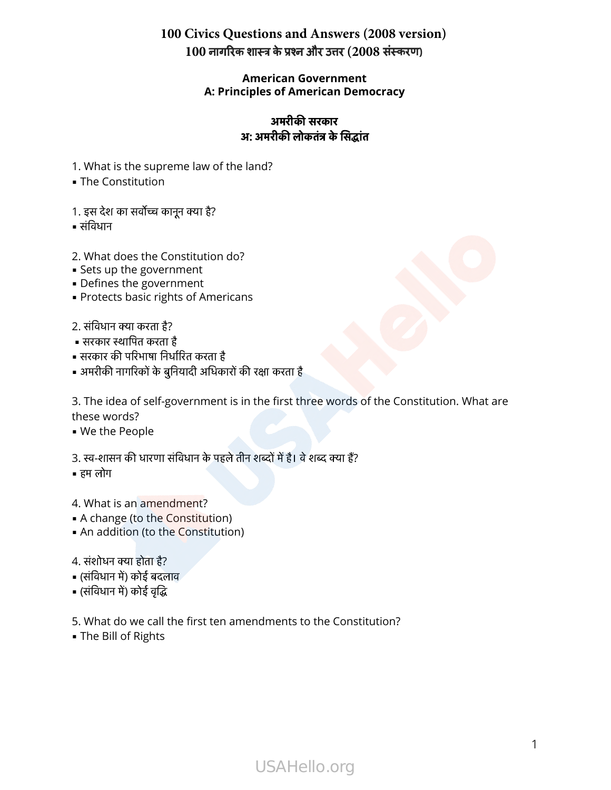### **100 Civics Questions and Answers (2008 version)** 100 नागरिक शास्त्र के प्रश्न और उत्तर (2008 संस्करण)

### **American Government A: Principles of American Democracy**

### अमरीकसरकार अ**:** अमरीकलोकतंकेसांत

- 1. What is the supreme law of the land?
- The Constitution 1. What<br>• The Co<br>1. इस देश<br>• संविधान
- 1. What is the supreme law o<br>• The Constitution<br>1. इस देश का सर्वोच्च कानून क्या है?
- 
- 2. What does the Constitution do? - सार्वचान<br>2. What does the Co<br>• Sets up the goverr<br>• Protects basic righ<br>2. संविधान क्या करता है? 2. What does the Con<br>• Sets up the governn<br>• Defines the governn<br>• Protects basic rights<br>?. संविधान क्या करता है?<br>• सरकार स्थापित करता है
- **Sets up the government**
- **Defines the government**
- **Protects basic rights of Americans** - Sets up the government<br>• Sets up the government<br>• Defines the government<br>• Protects basic rights of Ameri<br>2. संविधान क्या करता है?<br>• सरकार स्थापित करता है<br>• सरकार की परिभाषा निर्धारित करता है
- 
- 
- 
- 2. संविधान क्या करता है?<br>• सरकार स्थापित करता है<br>• सरकार की परिभाषा निर्धारित करता है<br>• अमरीकी नागरिकों के बुनियादी अधिकारों की रक्षा करता है

3. The idea of self-government is in the first three words of the Constitution. What are these words?

- We the People
- 3. स्व-शासन की धारणा संविधान के पहले तीन शब्दों में है। वे शब्द क्या हैं?
- हम लोग
- 4. What is an amendment?
- A change (to the Constitution)
- **An addition (to the Constitution)** 4. What is an <mark>amendn</mark><br>• A change (to the Cor<br>• An addition (to the Cor<br>4. संशोधन क्या होता है?<br>• (संविधान में) कोई बदलाव 4. What is an amen<br>• A change (to the C<br>• An addition (to th<br>4. संशोधन क्या होता है?<br>• (संविधान में) कोई बदल<br>• (संविधान में) कोई वृद्धि
- = हम लोग<br>4. What is an amer<br>= A change (to the<br>= An addition (to th<br>4. संशोधन क्या होता है?
- 
- 
- 5. What do we call the first ten amendments to the Constitution?
- **The Bill of Rights**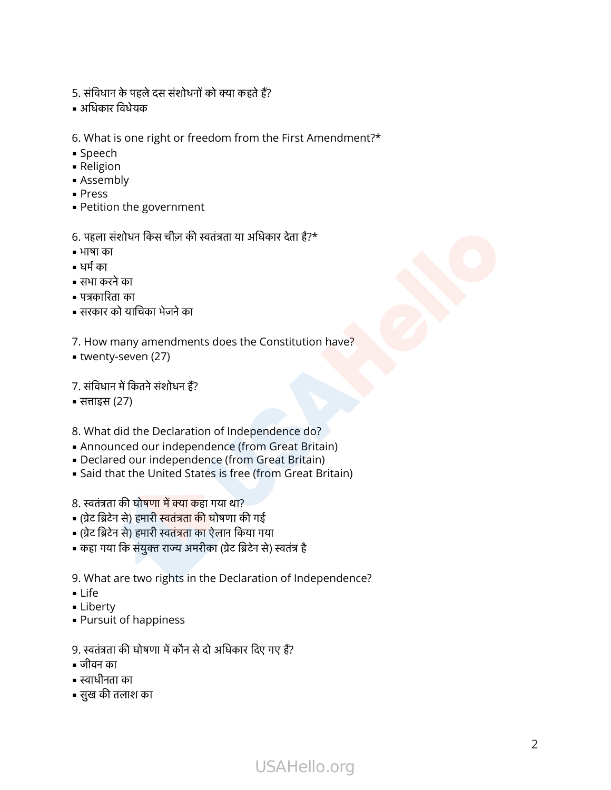- .<br>5. संविधान के पहले दस संशोधनों को क्या कहते हैं?<br>. 5. संविधान के पहले दस संशोधनों को क्या कहते हैं?<br>• अधिकार विधेयक
- 
- 6. What is one right or freedom from the First Amendment?\*
- Speech
- Religion
- **B** Assembly
- Press
- **Petition the government**

o. what is one right or freedom from the First Ar<br>• Speech<br>• Religion<br>• Assembly<br>• Press<br>• Petition the government<br>6. पहला संशोधन किस चीज़ की स्वतंत्रता या अधिकार देता है?\* 6. पहला संशोधन किस चीज़ की<br>• भाषा का<br>• भाषा का<br>• सभा करने का<br>• पत्रकारिता का<br>• सरकार को याचिका भेजने का

- भाषा का
- धम का
- सभा करने का
- = Petition the<br>6. पहला संशोध<br>= भाषा का<br>= समा करने का<br>= सभा करने का
- 
- 7. How many amendments does the Constitution have?
- **twenty-seven (27)**
- पत्रकारिता का<br>• सरकार को याचिका भेजने का<br>7. How many amendmen<br>• twenty-seven (27)<br>7. संविधान में कितने संशोधन हैं?
- साइस (27)
- 8. What did the Declaration of Independence do?
- Announced our independence (from Great Britain) 8. What did the Declaration of Inde<br>• Announced our independence (f<br>• Declared our independence (from<br>• Said that the United States is free<br>8. स्वतंत्रता की घोषणा में क्या कहा गया था? 8. What did the Declaration of Indepen<br>• Announced our independence (from<br>• Declared our independence (from Gr<br>• Said that the United States is free (from<br>8. स्वतंत्रता की घोषणा में क्या कहा गया था?<br>• (ग्रेट ब्रिटेन से) ह
- **Declared our independence (from Great Britain)**
- **.** Said that the United States is free (from Great Britain)
- 
- 8. स्वतंत्रता की घोष<mark>णा में क्या क</mark>हा गया था?<br>• (ग्रेट ब्रिटेन से) हमारी स्वतंत्रता <mark>की</mark> घोषणा की गई<br>• (ग्रेट ब्रिटेन से) हमारी स्वतंत्रता का ऐलान किया गया
- 
- कहा गया कि संयुक्त राज्य अमरीका (ग्रेट ब्रिटेन से) स्वतंत्र है
- 9. What are two rights in the Declaration of Independence? 9. What are two rights in the Declaration of |<br>| Life<br>|- Liberty<br>|- Pursuit of happiness<br>|- Pursuit of happiness<br>|- अर्वतंत्रता की घोषणा में कौन से दो अधिकार दिए गए हैं?
- $Life$
- **ELiberty**
- Pursuit of happiness = - - - - - - - - - -<br>| Life<br>| - Liberty<br>|- Pursuit of<br>|<br>| - जीवन का<br>|- - स्वाधीनता का =::=<br>= Liberty<br>= Pursuit of hap<br>9. स्वतंत्रता की घोषण<br>= स्वाधीनता का<br>= सुख की तलाश का
- 
- जीवन का
- 
-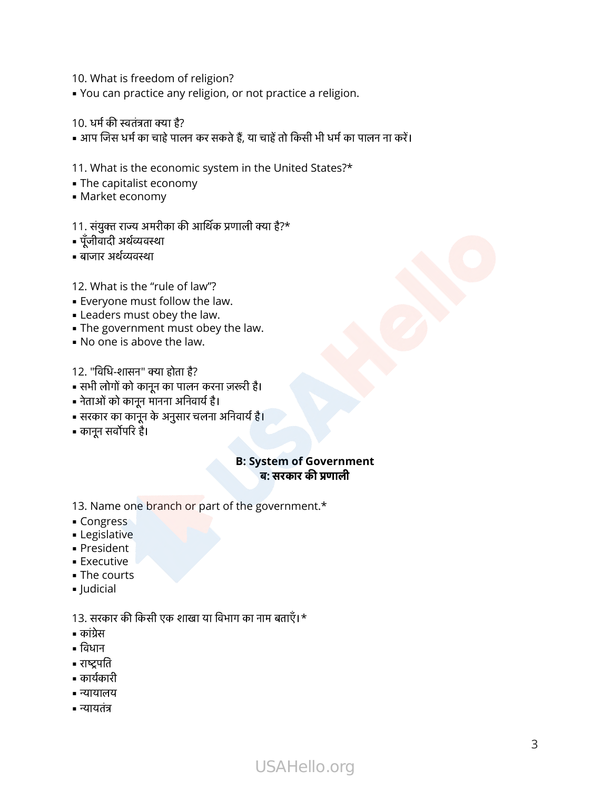- 10. What is freedom of religion?
- You can practice any religion, or not practice a religion. 10. What is freedom of<br>• You can practice any<br>10. धर्म की स्वतंत्रता क्या है?
- 
- 10. धर्म की स्वतंत्रता क्या है?<br>• आप जिस धर्म का चाहे पालन कर सकते हैं, या चाहें तो किसी भी धर्म का पालन ना करें।

11. What is the economic system in the United States?\*

- **The capitalist economy**
- **Market economy**
- 11. संयुक्त राज्य अमरीका की आर्थिक प्रणाली क्या है?\*
- पूँजीवादी अर्थव्यवस्था
- बाजार अर्थव्यवस्था
- 12. What is the "rule of law"? 12. What is the "rule of la<br>• Everyone must follow th<br>• Leaders must obey the l<br>• The government must o<br>• No one is above the law<br>12. "विधि-शासन" क्या होता है?
- **Everyone must follow the law.**
- **Example 1** Leaders must obey the law.
- **.** The government must obey the law. - Everyone mast rollow the law.<br>• Leaders must obey the law.<br>• The government must obey<br>• No one is above the law.<br>12. "विधि-शासन" क्या होता है?<br>• सभी लोगों को कानून का पालन करना<br>• नेताओं को कानून मानना अनिवार्य है।
- No one is above the law.
- 
- 12. "विधि-शासन" क्या होता है?<br>• सभी लोगों को कानून का पालन करना ज़रूरी है।
- 
- सरकार का कानून के अनुसार चलना अनवाय ह। = No one is abo<br>12. "विधि-शासन"<br>= सभी लोगों को का<br>= सरकार का कानून<br>= सरकार का कानून<br>= कानून सर्वोपरि है।
- 

### **B: System of Government**  ब**:** सरकारकणाली

- 13. Name one branch or part of the government.\*
- Congress
- **E** Legislative
- President
- **Executive** - Tresk<br>| Execu<br>| The c<br>| Judici<br>| 13. सरक<br>| कांग्रेस
- **The courts** = = = = = =<br>| The col<br>| Judicial<br>| 3. सरकार<br>| कांग्रेस<br>| विधान
- Judicial

= Congress<br>= Legislative<br>= President<br>= Executive<br>= The courts<br>= Judicial<br>13. सरकार की किसी एक शाखा या विभाग का नाम बताएँ।\*

- कांग्रेस
- 
- 
- कायकारी
- न्यायालय
- न्यायतंत्र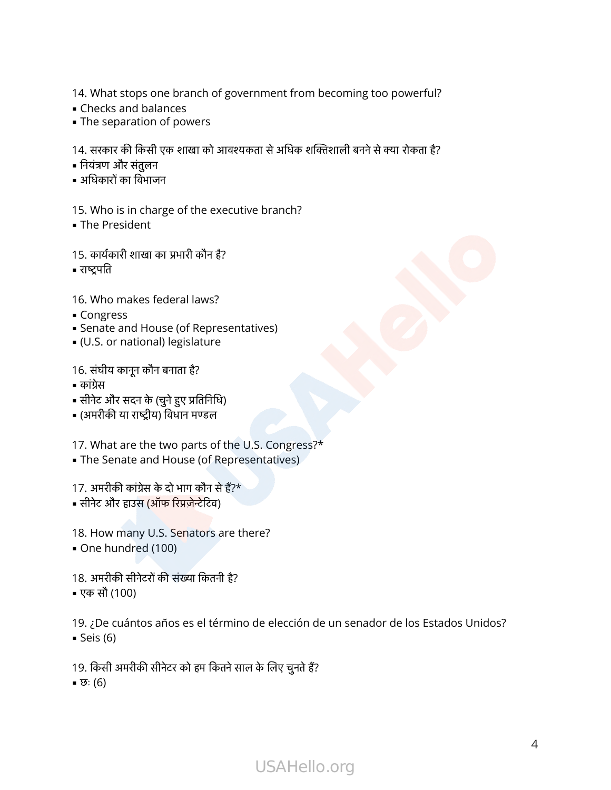14. What stops one branch of government from becoming too powerful? 14. What stops one branch of government from becoming too powerful?<br>• Checks and balances<br>• The separation of powers<br>14. सरकार की किसी एक शाखा को आवश्यकता से अधिक शक्तिशाली बनने से क्या रोकता है? 14. What stops or<br>• Checks and bala<br>• The separation (<br>14. सरकार की किसी !<br>• नियंत्रण और संतुलन 14. What stops one<br>• Checks and balan<br>• The separation of<br>14. सरकार की किसी एवं<br>• नियंत्रण और संतुलन

- Checks and balances
- **The separation of powers**

- 
- = अधिकारो<br>15. Who<br>= The Pre<br>15. कार्यक<br>= राष्ट्रपति

15. Who is in charge of the executive branch? • नियंत्रण और संतुलन<br>• अधिकारों का विभाजन<br>15. Who is in charge of the exe<br>• The President<br>15. कार्यकारी शाखा का प्रभारी कौन है?

**• The President** 

16. Who makes federal laws? - सन्द्रनात<br>16. Who makes federal lav<br>• Congress<br>• Senate and House (of Re<br>• (U.S. or national) legislat<br>16. संघीय कानून कौन बनाता है?

- Congress
- **Example 3 Senate and House (of Representatives)** - Congress<br>• Congress<br>• Senate and House (of Represe<br>• (U.S. or national) legislature<br>16. संघीय कानून कौन बनाता है?<br>• कांग्रेस<br>• सोनेट और सदन के (चुने हुए प्रतिनिधि)
- (U.S. or national) legislature

- कांग्रेस
- Congress<br>• Senate and House (of Repre<br>• (U.S. or national) legislature<br>16. संघीय कानून कौन बनाता है?<br>• सीनेट और सदन के (चुने हुए प्रतिनिधि<br>• (अमरीकी या राष्ट्रीय) विधान मण्डल
- 

17. What are the two parts of the U.S. Congress?\* • सीनेट और सदन के (चुने हुए प्रतिनिधि)<br>• (अमरीकी या राष्ट्रीय) विधान मण्डल<br>17. What are the two parts of the l<br>• The Senate and House (of Repre:<br>17. अमरीकी कांग्रेस के दो भाग कौन से हैं?\* | (अमरीकी या राष्ट्रीय) विधान मण्डल<br>17. What are the two parts of the<br>|• The Senate and House (of Repre<br>|<br>| सीनेट और हाउस (ऑफ रिप्रज़ेन्टेटिव)

**The Senate and House (of Representatives)** 

17. अमरीकी कांग्रेस के दो भाग कौन से हैं?\*<br>■ सीनेट और हाउस (ऑफ रिप्रजेन्टेटिव)<br>18. How many U.S. Senators are t<br>■ One hundred (100)<br>18. अमरीकी सीनेटरों की संख्या कितनी है?

- 
- 18. How many U.S. Senators are there?
- One hundred (100)
- 
- एक सौ (100)

19. ¿De cuántos años es el término de elección de un senador de los Estados Unidos?  $\blacktriangleright$  Seis (6) 18. अमरीकी सीनेटरों की संख्या कितनी है?<br>• एक सौ (100)<br>19. ¿De cuántos años es el término de elección de<br>• Seis (6)<br>19. किसी अमरीकी सीनेटर को हम कितने साल के लिए चुनते हैं?

- 
- $\overline{\mathfrak{v}}$ : (6)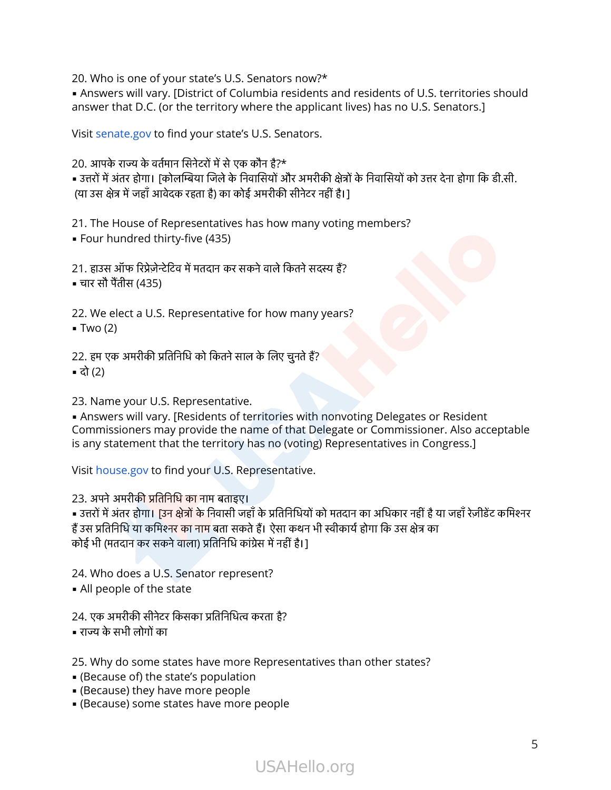20. Who is one of your state's U.S. Senators now?\*

• Answers will vary. [District of Columbia residents and residents of U.S. territories should 20. Who is one of your state's U.S. Senators<br>• Answers will vary. [District of Columbia re<br>answer that D.C. (or the territory where the<br>Visit senate.gov to find your state's U.S. Ser<br>20. आपके राज्य के वर्तमान सिनेटरों में zo: Who is one or your state's 0.5: Senators now:<br>• Answers will vary. [District of Columbia residents and residents of U.S. territories should<br>answer that D.C. (or the territory where the applicant lives) has no U.S. Sen

Visit [senate.gov](http://www.senate.gov/) to find your state's U.S. Senators.

- Answers win vary. [District of Columbia residents and residents of 0.5. territores<br>answer that D.C. (or the territory where the applicant lives) has no U.S. Senators.]<br>Visit senate.gov to find your state's U.S. Senators • उत्तरों में अंतर होगा। [कोलम्बिया जिले के निवासियों और अमरीकी क्षेत्रो<br>(या उस क्षेत्र में जहाँ आवेदक रहता है) का कोई अमरीकी सीनेटर नहीं है।]<br>21. The House of Representatives has how many voting<br>• Four hundred thirty-fiv

21. The House of Representatives has how many voting members?

▪ Four hundred thirty-five (435)

(या उस क्षेत्र में जहाँ आ<sup>रं</sup><br>21. The House of F<br>• Four hundred thi<br>21. हाउस ऑफ रिप्रेज़ेन्टे<br>• चार सौ पैंतीस (435) 21. हाउस ऑफ रिप्रेज़ेन्टेटिव में मतदान कर सकने वाले कितने सदस्य हैं?<br>• चार सौ पैंतीस (435)<br>22. We elect a U.S. Representative for how many years<br>• Two (2)<br>22. हम एक अमरीकी प्रतिनिधि को कितने साल के लिए चूनते हैं?

22. We elect a U.S. Representative for how many years?  $\blacksquare$  Two (2)

▪ दो (2)

23. Name your U.S. Representative.

**.** Answers will vary. [Residents of territories with nonvoting Delegates or Resident Commissioners may provide the name of that Delegate or Commissioner. Also acceptable is any statement that the territory has no (voting) Representatives in Congress.] ∠3. Name your U.S. Representative.<br>■ Answers will vary. [Residents of tel<br>Commissioners may provide the nais any statement that the territory h<br>Visit house.gov to find your U.S. Rep<br>23. अपने अमरीकी प्रतिनिधि का नाम बताइए = Answers will vary. [Residents of territories with nonvoting Delegates or Resident<br>Commissioners may provide the name of that Delegate or Commissioner. Also acceptable<br>is any statement that the territory has no (voting)

Visit [house.gov](http://www.house.gov/) to find your U.S. Representative.

Commissioners may provide the name of that Delegate of Commissioner<br>is any statement that the territory has no (voting) Representatives in Con<br>Visit house.gov to find your U.S. Representative.<br>23. अपने अमरीकी प्रतिनिधि का is any statement that the territory has no (votin<br>Visit house.gov to find your U.S. Representative<br>23. अपने अमरीकी प्रतिनिधि का नाम बताइए।<br>• उत्तरों में अंतर होगा। [उन क्षेत्रों के निवासी जहाँ के प्रतिनिधियों<br>हैं उस प्रति हैं उस प्रतिनिधि या कमिश्न<mark>र का नाम</mark> बता सकते हैं। ऐसा<br>कोई भी (मतदान कर सकने वाला) प्रतिनिधि कांग्रेस में नही<br>24. Who does a U.S. Senator represent?<br>• All people of the state<br>24. एक अमरीकी सीनेटर किसका प्रतिनिधित्व करता ह .<br>कोई भी (मतदान कर सकनें<br>24. Who does a U.S.<br>• All people of the s<br>24. एक अमरीकी सीनेटर

24. Who does a U.S. Senator represent?

**.** All people of the state

25. Why do some states have more Representatives than other states?

- (Because of) the state's population
- (Because) they have more people
- (Because) some states have more people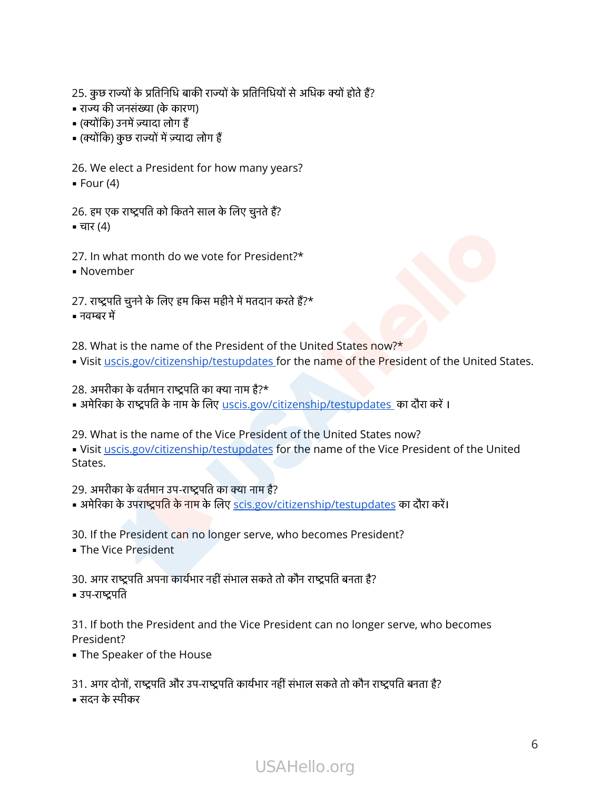25. कुछ राज्यों के प्रतिनिधि बाकी राज्यों के प्रतिनिधियों से अधिक क्यों होते हैं?<br>25. कुछ राज्यों के प्रतिनिधि बाकी राज्यों के प्रतिनिधियों से अधिक क्यों होते हैं? -<br>25. कुछ राज्यों के प्रतिनिधि बाकी<br>- राज्य की जनसंख्या (के कारण) 25. कुछ राज्यों के प्रतिनिधि बाव<br>- राज्य की जनसंख्या (के कारण<br>- (क्योंकि) उनमें ज़्यादा लोग हैं 25. कुछ राज्यों के प्रतिनिधि बाकी राज्यों<br>• राज्य की जनसंख्या (के कारण)<br>• (क्योंकि) उनमें ज़्यादा लोग हैं<br>• (क्योंकि) कुछ राज्यों में ज़्यादा लोग हैं

- 
- 
- 

26. We elect a President for how many years? • राज्य की जनसंख्या (के कारण)<br>• (क्योंकि) उनमें ज़्यादा लोग हैं<br>• (क्योंकि) कुछ राज्यों में ज़्यादा लोग हैं<br>26. We elect a President for how many ye<br>• Four (4)<br>26. हम एक राष्ट्रपति को कितने साल के लिए चुनते हैं?

 $\blacksquare$  Four (4)

 $\blacksquare$  चार (4) 26. हम एक राष्ट्रपति को कितने साल के लिए चुनते हैं?<br>• चार (4)<br>27. In what month do we vote for President?\*<br>• November<br>27. राष्ट्रपति चुनने के लिए हम किस महीने में मतदान करते हैं?\*

27. In what month do we vote for President?\*

▪ November

■ चार (4)<br>27. In wh<br>■ Noveml<br>27. राष्ट्रपति<br>■ नवम्बर में 27. राष्ट्रपति चुनने के लिए हम किस महीने में मतदान<br>• नवम्बर में<br>28. What is the name of the President o<br>• Visit <u>uscis.gov/citizenship/testupdates</u><br>28. अमरीका के वर्तमान राष्ट्रपति का क्या नाम है?\*

28. What is the name of the President of the United States now?\*

. Visit [uscis.gov/citizenship/testupdates f](https://www.uscis.gov/citizenship/testupdates)or the name of the President of the United States. = नवम्बर में<br>28. What is the name of the President of the United States now?\*<br>= Visit <u>uscis.gov/citizenship/testupdates</u> for the name of the President of the<br>28. अमरीका के वर्तमान राष्ट्रपति का क्या नाम है?\*<br>= अमेरिका के

29. What is the name of the Vice President of the United States now?

. Visit [uscis.gov/citizenship/testupdates](https://www.uscis.gov/citizenship/testupdates) for the name of the Vice President of the United States. zo: अमरीका के वासमा राष्ट्रपारी का बनायाय है:<br>• अमेरिका के राष्ट्रपति के नाम के लिए <u>uscis.gov/ci</u><br>29. What is the name of the Vice Presider<br>• Visit <u>uscis.gov/citizenship/testupdates</u> f<br>States.<br>29. अमरीका के वर्तमान उप-र = अमेरिका के रान्द्र मारा के नाम के लिए <u>discis.gov/citizenship/testupdates</u> का दोरा कर ।<br>= Visit <u>uscis.gov/citizenship/testupdates</u> for the name of the Vice President<br>States.<br>29. अमरीका के वर्तमान उप-राष्ट्रपति का क्या

39. अमरीका के वर्तमान उप-राष्ट्रपति का क्या नाम है?<br>• अमेरिका के उपराष्ट्रपति के नाम के लिए <u>scis.gov/citizenship/testupda</u><br>30. If the President can no longer serve, who becomes Presic<br>• The Vice President<br>30. अगर राष्ट्र = अमेरिका के उ<br>30. If the Pr<br>= The Vice P<br>30. अगर राष्ट्रपति

30. If the President can no longer serve, who becomes President?

**- The Vice President** 

31. If both the President and the Vice President can no longer serve, who becomes President? • उप-राष्ट्रपति<br>31. If both the President and the Vice President can no longer serve, who<br>President?<br>• The Speaker of the House<br>31. अगर दोनों, राष्ट्रपति और उप-राष्ट्रपति कार्यभार नहीं संभाल सकते तो कौन राष्ट्रपति बनता है

**.** The Speaker of the House

■ सदन के स्पीकर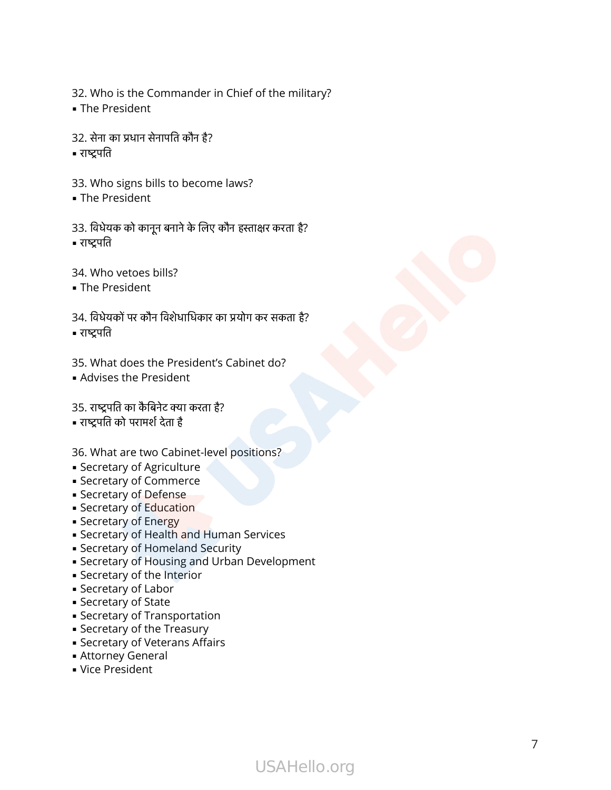32. Who is the Commander in Chief of the military? 32. Who is the Commander i<br>• The President<br>32. सेना का प्रधान सेनापति कौन है?

- **.** The President
- 32. Who<br>• The Pre<br>32. सेना क<br>• राष्ट्रपति
- 
- 33. Who signs bills to become laws?
- **.** The President
- 32. सेना का प्रधान सेनापति कौन है?<br>• राष्ट्रपति<br>33. Who signs bills to become laws?<br>• The President<br>33. विधेयक को कानून बनाने के लिए कौन हस्ताक्षर करता है? = राष्ट्रपति<br>33. Who<br>= The Pre<br>33. विधेयव्<br>= राष्ट्रपति 33. विधेयक को कानून बनाने के लिए कौन हस्ताक्षर करता है?<br>• राष्ट्रपति<br>34. Who vetoes bills?<br>• The President<br>34. विधेयकों पर कौन विशेधाधिकार को प्रयोग कर सकता है?
- 34. Who vetoes bills?
- **.** The President
- राष्ट्रपति<br>34. Who<br>- The Pro<br>34. विधेयः<br>- राष्ट्रपति 34. विधेयकों पर कौन विशेधाधिकार का प्रयोग कर सकता है?<br>• राष्ट्रपति<br>35. What does the President's Cabinet do?<br>• Advises the President<br>35. राष्ट्रपति का कैबिनेट क्या करता है?
- 
- 35. What does the President's Cabinet do?
- **.** Advises the President

• राष्ट्रपति को परामर्श देता है

36. What are two Cabinet-level positions?

- **E** Secretary of Agriculture
- **E** Secretary of Commerce
- **E** Secretary of Defense
- **Exerciary of Education**
- **Exercise Secretary of Energy**
- **E** Secretary of Health and Human Services
- **Executed Security Security**
- **Execute 5 Secretary of Housing and Urban Development**
- **EXECTED** Secretary of the Interior
- **E** Secretary of Labor
- **E** Secretary of State
- **E** Secretary of Transportation
- **E** Secretary of the Treasury
- **E** Secretary of Veterans Affairs
- **Exercise Attorney General**
- **· Vice President**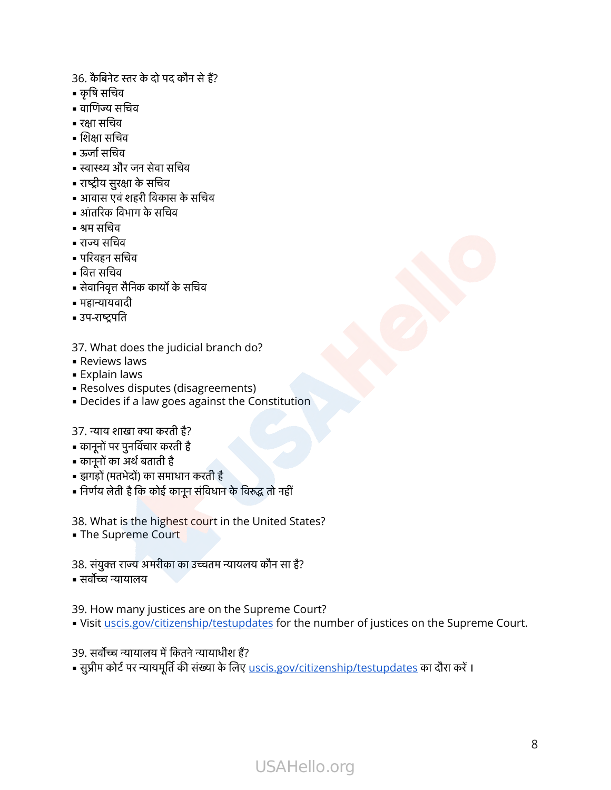.<br>36. कैबिनेट स्तर के दो पद कौन से हैं?<br>. =<br>36. कैबिनेट स<br>= कृषि सचिव 36. कैबिनेट स्तर <sup>दे</sup><br>• कृषि सचिव<br>• वाणिज्य सचिव 36. कैबिनेट स्तर के दो पद कौन<br>• कृषि सचिव<br>• वाणिज्य सचिव<br>• रक्षा सचिव<br>• रुर्जा सचिव<br>• रुजां सचिव<br>• स्वास्थ्य और जन सेवा सचिव

- 
- 36. कैबिनेट र<br>• कृषि सचिव<br>• वाणिज्य स<br>• रक्षा सचिव 36. कैबिनेट स्त<br>• कृषि सचिव<br>• वाणिज्य सचि<br>• रक्षा सचिव<br>• शिक्षा सचिव 36. कैबिनेट स्त<br>• कृषि सचिव<br>• वाणिज्य सन्धि<br>• शिक्षा सचिव<br>• ऊर्जा सचिव
- 
- = शिक्षा सचि<br>= ऊर्जा सचिव<br>= स्वास्थ्य औ<br>= राष्ट्रीय सुरक्ष<br>= आंतरिक वि<br>= श्रम सचिव
- 
- कृषि सचिव<br>• वाणिज्य सचिव<br>• रक्षा सचिव<br>• शिक्षा सचिव<br>• रुजा सचिव<br>• स्वास्थ्य और जन सेवा स<br>• राष्ट्रीय सुरक्षा के सचिव
- 
- वाणिज्य सचिव<br>• रक्षा सचिव<br>• शिक्षा सचिव<br>• रुर्जा सचिव<br>• रुद्रीय सुरक्षा के सचिव<br>• राष्ट्रीय सुरक्षा के सचिव<br>• आवास एवं शहरी विकास के सचिव • रक्षा सचिव<br>• शिक्षा सचिव<br>• ऊर्जा सचिव<br>• स्वास्थ्य और जन सेवा सचि<br>• राष्ट्रीय सुरक्षा के सचिव<br>• आवास एवं शहरी विकास <sup>;</sup><br>• आंतरिक विभाग के सचिव = ऊर्जा सचिव<br>= स्वास्थ्य और<br>= राष्ट्रीय सुरक्ष<br>= आवास एवं १<br>= श्रम सचिव<br>= शम सचिव • स्वास्थ्य और जन्<br>• राष्ट्रीय सुरक्षा के<br>• आवास एवं शहर<br>• आंतरिक विभाग<br>• राज्य सचिव<br>• राज्य सचिव<br>• परिवहन सचिव • आवास एवं शहरी विकास के सचिन<br>• आंतरिक विभाग के सचिव<br>• श्रम सचिव<br>• राज्य सचिव<br>• वित्त सचिव<br>• वित्त सचिव<br>• सेवानिवृत्त सैनिक कार्यों के सचिव
- 
- 
- 
- = राष्ट्रीय सुरक्ष<br>= आवास एवं<br>= आंतरिक वि<br>= श्रम सचिव<br>= परिवहन सन्धि<br>= परिवहन सन्धि = श्रम सचिव<br>= राज्य सचिव<br>= परिवहन सचि<br>= वित्त सचिव<br>= सहान्यायवादी<br>= महान्यायवादी
- 
- 
- महान्यायवादी
- 

37. What does the judicial branch do?

- **Reviews laws**
- **Explain laws**
- **Resolves disputes (disagreements)**
- **Decides if a law goes against the Constitution** 37. What does the judici<br>• Reviews laws<br>• Explain laws<br>• Resolves disputes (disa<br>• Decides if a law goes a<br>37. न्याय शाखा क्या करती है? - X. What does the judick<br>• Reviews laws<br>• Explain laws<br>• Resolves disputes (disa<br>• Decides if a law goes a<br>37. न्याय शाखा क्या करती है?<br>• कानूनों पर पुनर्विचार करती है - Keviews laws<br>• Explain laws<br>• Resolves disputes (<br>• Decides if a law goe<br>37. न्याय शाखा क्या करती<br>• कानूनों पर पुनर्विचार करते<br>• कानूनों पर पुनर्विचार करते = Resolves disputes (disagreem<br>• Resolves disputes (disagreem<br>• Decides if a law goes against<br>37. न्याय शाखा क्या करती है?<br>• कानूनों का अर्थ बताती है<br>• क़ानूनों का अर्थ बताती है • Decides if a law goes against the Constituti<br>37. न्याय शाखा क्या करती है?<br>• कानूनों पर पुनर्विचार करती है<br>• कानूनों का अर्थ बताती है<br>• झगड़ों (मतभेदों) का समाधान करती है<br>• निर्णय लेती है कि कोई कानून संविधान के विरुद्ध

- 
- 
- 
- = निर्णय लेती है कि र<br>38. What is the |<br>= The Supreme<br>38. संयुक्त राज्य अग्<br>= सर्वोच्च न्यायालय

38. What is the highest court in the United States? • झगड़ों (मतभेदों) का समाधान करती है<br>• निर्णय लेती है कि कोई कानून संविधान के विरुद्ध तो नहीं<br>38. What is the highest court in the United Stat<br>• The Supreme Court<br>38. संयुक्त राज्य अमरीका का उच्चतम न्यायलय कौन सा है?

- The Supreme Court
- 
- 

39. How many justices are on the Supreme Court? 38. संयुक्त राज्य अमरीका का उच्चतम न्यायलय कौन सा है?<br>• सर्वोच्च न्यायालय<br>39. How many justices are on the Supreme Co<br>• Visit <u>uscis.gov/citizenship/testupdates</u> for th<br>39. सर्वोच्च न्यायालय में कितने न्यायाधीश हैं?

- . Visit [uscis.gov/citizenship/testupdates](https://www.uscis.gov/citizenship/testupdates) for the number of justices on the Supreme Court.
- 
- सुप्रीम कोर्ट पर न्यायमूर्ति की संख्या के लिए <u>uscis.gov/citizenship/testupdates</u> का दौरा करें ।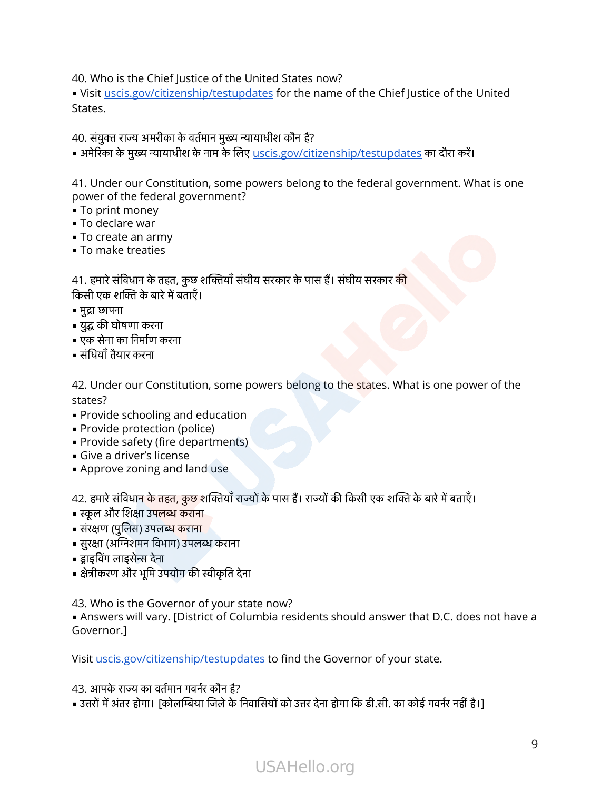40. Who is the Chief Justice of the United States now?

. Visit [uscis.gov/citizenship/testupdates](https://www.uscis.gov/citizenship/testupdates) for the name of the Chief Justice of the United States.

40. संयुक्त राज्य अमरीका के वर्तमान मुख्य न्यायाधीश कौन हैं?

• अमेरिका के मुख्य न्यायाधीश के नाम के लिए <u>[uscis.gov/citizenship/testupdates](https://www.uscis.gov/citizenship/testupdates)</u> का दौरा करें।

41. Under our Constitution, some powers belong to the federal government. What is one power of the federal government? 41. Under our Constitution, some powers belong to the federal gov<br>power of the federal government?<br>• To print money<br>• To declare war<br>• To create an army<br>• To make treaties<br>41. हमारे संविधान के तहत, कुछ शक्तियाँ संघीय सरका

- To print money
- **To declare war**
- **To create an army**
- To make treaties

power of the federal gover<br>• To print money<br>• To declare war<br>• To create an army<br>• To make treaties<br>41. हमारे संविधान के तहत, कुछ श<br>किसी एक शक्ति के बारे में बताएँ। - To create an arm<br>- To create an arm<br>- To make treaties<br>41. हमारे संविधान के ता<br>किसी एक शक्ति के बारे<br>- मुद्रा छापना • To make treaties<br>41. हमारे संविधान के तहत, द्<br>किसी एक शक्ति के बारे में बन<br>• युद्ध की घोषणा करना<br>• युद्ध की घोषणा करना 41. हमारे संविधान के<br>किसी एक शक्ति के ब<br>• मुद्रा छापना<br>• युद्ध की घोषणा करन्<br>• एक सेना का निर्माण<br>• संधियाँ तैयार करना

- मुद्रा छापना
- 
- 
- 

42. Under our Constitution, some powers belong to the states. What is one power of the states?

- **Provide schooling and education**
- Provide protection (police)
- **Provide safety (fire departments)**
- **·** Give a driver's license
- Approve zoning and land use

states:<br>• Provide schooling and education<br>• Provide safety (fire departments)<br>• Give a driver's license<br>• Approve zoning and land use<br>42. हमारे संविधान के तहत, कुछ शक्तियाँ राज्यों के पास हैं। राज्यों की किसी एक शक्ति के = Provide scriboling and ed<br>= Provide protection (police<br>= Provide safety (fire depar<br>= Give a driver's license<br>= Approve zoning and land<br>42. हमारे संविधान के तहत, कुछ श<br>= स्कूल और शिक्षा उपलब्ध कराना - Frovide proceduon (poile<br>• Provide safety (fire depai<br>• Give a driver's license<br>• Approve zoning and land<br>42. हमारे संविधान के तहत, कुछ १<br>• स्कूल और शिक्षा उपलब्ध कराना<br>• संरक्षण (पुलिस) उपलब्ध कराना - Provide sarely (includependments<br>• Give a driver's license<br>• Approve zoning and land use<br>42. हमारे संविधान के तहत, कुछ शक्तियाँ रा<br>• स्रंरक्षण (पुलिस) उपलब्ध कराना<br>• सुरक्षा (अग्निशमन विभाग) उपलब्ध कराना = Approve zoning a<br>42. हमारे संविधान के तह<br>= स्कूल और शिक्षा उपलब्<br>= संरक्षण (पुलिस) उपलब्<br>= सुरक्षा (अग्निशमन विभ<br>= सुाइविंग लाइसेन्स देना -<br>- 42. हमारे संविधान के तहत, कुछ शक्तियाँ राज्य<br>• स्कूल और शिक्षा उपलब्ध कराना<br>• सुरक्षा (अग्निशमन विभाग) उपलब्ध कराना<br>• झुाइविंग लाइसेन्स देना<br>• क्षेत्रीकरण और भूमि उपयोग की स्वीकृति देना

- 
- 
- 
- 
- 

43. Who is the Governor of your state now?

**.** Answers will vary. [District of Columbia residents should answer that D.C. does not have a Governor.] 43. Who is the Governor of your s<br>• Answers will vary. [District of Col<br>Governor.]<br>Visit <u>uscis.gov/citizenship/testupd</u><br>43. आपके राज्य का वर्तमान गवर्नर कौन है?

Visit [uscis.gov/citizenship/testupdates](https://www.uscis.gov/citizenship/testupdates) to find the Governor of your state.

43. आपके राज्य का वर्तमान गवर्नर कौन है?<br>• उत्तरों में अंतर होगा। [कोलम्बिया जिले के निवासियों को उत्तर देना होगा कि डी.सी. का कोई गवर्नर नहीं है।]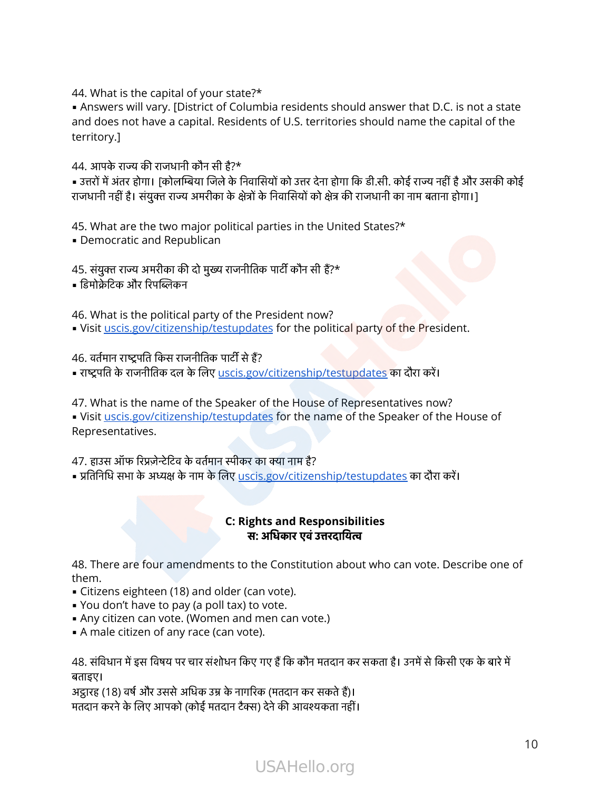44. What is the capital of your state?\*

**Answers will vary. [District of Columbia residents should answer that D.C. is not a state** and does not have a capital. Residents of U.S. territories should name the capital of the territory.] 44. What is the capital of your stat<br>• Answers will vary. [District of Col<br>and does not have a capital. Resid<br>territory.]<br>44. आपके राज्य की राजधानी कौन सी है?\* 44. What is the capital of your state?\*<br>• Answers will vary. [District of Columbia residents should answer that D.C. is not a state<br>and does not have a capital. Residents of U.S. territories should name the capital of the • Answers will vary. [District of Columbia residents should answer that D.C. is not<br>and does not have a capital. Residents of U.S. territories should name the capital<br>territory.]<br>• उत्तरों में अंतर होगा। [कोलम्बिया जिले क

• उत्तरों में अंतर होगा। [कोलम्बिया जिले के निवासियों को उत्तर देना होग<br>राजधानी नहीं है। संयुक्त राज्य अमरीका के क्षेत्रों के निवासियों को क्षेत्र ग<br>45. What are the two major political parties in the Uni<br>• Democratic and राजधानी नहीं है। संयुक्त राज्य<br>45. What are the two m<br>• Democratic and Repu<br>45. संयुक्त राज्य अमरीका की<br>• डिमोक्रेटिक और रिपब्लिकन

45. What are the two major political parties in the United States?\*

**• Democratic and Republican** 

46. What is the political party of the President now? • Visit [uscis.gov/citizenship/testupdates](https://www.uscis.gov/citizenship/testupdates) for the political party of the President. 45. संयुक्त राज्य अमरीका की दो मुख्य राजनीतिक<br>• डिमोक्रेटिक और रिपब्लिकन<br>• Visit <u>uscis.gov/citizenship/testupdate</u><br>• Visit <u>uscis.gov/citizenship/testupdate</u><br>46. वर्तमान राष्ट्रपति किस राजनीतिक पार्टी से हैं? | डिमोक्रेटिक और रिपब्लिकन<br>| 46. What is the political party of the President now?<br>| Visit <u>uscis.gov/citizenship/testupdates</u> for the political party of the Presiq<br>| अष्ट्रपति के राजनीतिक दल के लिए <u>uscis.gov/citizenship</u>

47. What is the name of the Speaker of the House of Representatives now? . Visit [uscis.gov/citizenship/testupdates](https://www.uscis.gov/citizenship/testupdates) for the name of the Speaker of the House of Representatives. 46. वर्तमान राष्ट्रपति किस राजनीतिक पार्टी से हैं?<br>• राष्ट्रपति के राजनीतिक दल के लिए <u>uscis.gov/citizenship/testupdates</u> का दौरा करें।<br>47. What is the name of the Speaker of the House of Representatives nov<br>• Visit <u>usci</u>

• प्रतिनिधि सभा के अध्यक्ष के नाम के लिए [uscis.gov/citizenship/testupdates](https://www.uscis.gov/citizenship/testupdates) का दौरा करें।

### **C: Rights and Responsibilities**  स**:** अधकारएवंउरदाय

48. There are four amendments to the Constitution about who can vote. Describe one of them. 48. There are four amendments to the Constitution about who can vote. Describe one of<br>• Citizens eighteen (18) and older (can vote).<br>• You don't have to pay (a poll tax) to vote.<br>• Any citizen can vote. (Women and men can

- **EXECT:** Citizens eighteen (18) and older (can vote).
- You don't have to pay (a poll tax) to vote.
- **Any citizen can vote. (Women and men can vote.)**
- **A** male citizen of any race (can vote).

बताइए। - CRIZENS CIgNCEN (18) and older (can vote).<br>• You don't have to pay (a poll tax) to vote.<br>• Any citizen can vote. (Women and men can vote.)<br>• A male citizen of any race (can vote).<br>48. संविधान में इस विषय पर चार संशोधन क मात्र बारा सादगर के लिए लाला है, के लिए सांसार करने - Any citizen can vote. (Women and men can vote.)<br>- A male citizen of any race (can vote).<br>48. संविधान में इस विषय पर चार संशोधन किए गए हैं कि कौन मतदान कर न<br>बताइए।<br>अट्ठ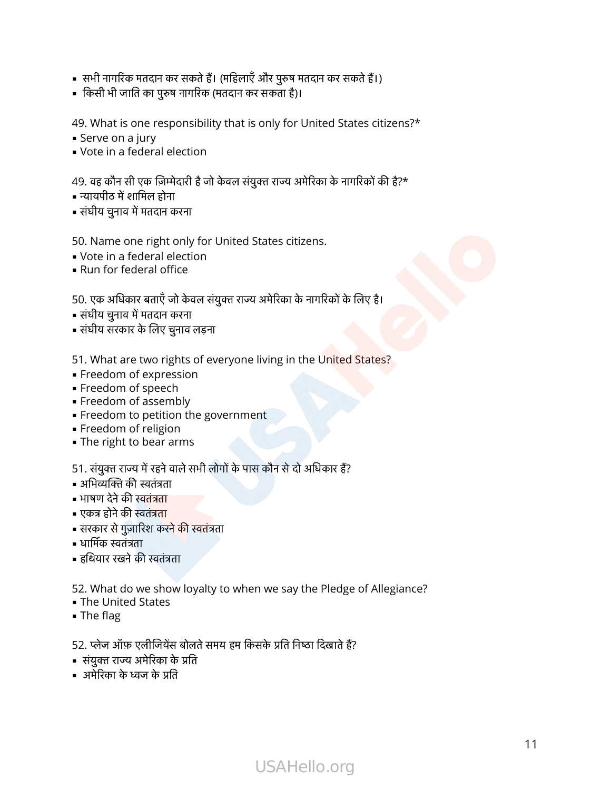- ■<br>■ सभी नागरिक मतदान कर सकते हैं। (महिलाएँ और पुरुष मतदान कर सकते हैं।)<br>■ |<br>|- सभी नागरिक मतदान कर सकते हैं। (महिलाएँ और पुरुष मत<br>|- किसी भी जाति का पुरुष नागरिक (मतदान कर सकता है)।
- 

49. What is one responsibility that is only for United States citizens?\* | किसी भी जाति का पुरुष नागरिक (मतदान कर सकता है)।<br>49. What is one responsibility that is only for United States citizens?<br>| Serve on a jury<br>| Vote in a federal election<br>| Yote in a federal election 49. What is one respo<br>• Serve on a jury<br>• Vote in a federal ele<br>49. वह कौन सी एक ज़िम्मेत्<br>• न्यायपीठ में शामिल होना 49. What is one responsi<br>• Serve on a jury<br>• Vote in a federal electid<br>49. वह कौन सी एक ज़िम्मेदारी<br>• न्यायपीठ में शामिल होना<br>• संघीय चुनाव में मतदान करना

- **E** Serve on a jury
- Vote in a federal election

- 
- 

50. Name one right only for United States citizens. 50. Name one right only<br>• Vote in a federal electid<br>• Run for federal office<br>50. एक अधिकार बताएँ जो केव<br>• संघीय चुनाव में मतदान करना 50. Name one right only for <mark>l</mark><br>• Vote in a federal election<br>• Run for federal office<br>50. एक अधिकार बताएँ जो केवल संयु<br>• संघीय चुनाव में मतदान करना<br>• संघीय सरकार के लिए चुनाव लड़ना

- Vote in a federal election
- Run for federal office

• संघीय चुनाव में मतदान करना<br>50. Name one right only for United States citizens.<br>• Vote in a federal election<br>• Run for federal office<br>50. एक अधिकार बताएँ जो केवल संयुक्त राज्य अमेरिका के नागरिकों के लिए है।

- 
- 

51. What are two rights of everyone living in the United States?

- **Freedom of expression**
- Freedom of speech
- **Freedom of assembly** = Freedom of speech<br>= Freedom of assem<br>= Freedom to petitio<br>= Freedom of religion<br>= The right to bear al<br>51. संयुक्त राज्य में रहने व<br>= अभिव्यक्ति की स्वतंत्रता
- **Freedom to petition the government** = Freedom or assen<br>= Freedom to petitic<br>= Freedom of religic<br>= The right to bear<br>= अभिव्यक्ति की स्वतंत्रता<br>= अभिव्यक्ति की स्वतंत्रता
- **Freedom of religion**
- The right to bear arms

- Freedom of expression<br>- Freedom of speech<br>- Freedom to petition the government<br>- Freedom of religion<br>- The right to bear arms<br>51. संयुक्त राज्य में रहने वाले सभी लोगों के पास कौन से दो अधिकार हैं? = Freedom to petitive<br>= Freedom of religid<br>= The right to bear<br>51. संयुक्त राज्य में रहने<br>= अभिव्यक्ति की स्वतंत्रता<br>= भाषण देने की स्वतंत्रता = The right to bear arms<br>■ The right to bear arms<br>51. संयुक्त राज्य में रहने वाले सभी लोगो<br>■ अभिव्यक्ति की स्वतंत्रता<br>■ भाषण देने की स्वतंत्रता<br>■ एकत्र होने की स्वतंत्रता - '''-''-''<sub>''5'</sub>'': ''-''<br>51. संयुक्त राज्य मे<br>• अभिव्यक्ति की स्व<br>• सरकार से गुज़ारि<br>• सरकार से गुज़ारि 51. संयुक्त राज्य में रहने वाले<br>• अभिव्यक्ति की स्वतंत्रता<br>• भाषण देने की स्वतंत्रता<br>• एकत्र होने की स्वतंत्रता<br>• सरकार से गुज़ारिश करने के<br>• धार्मिक स्वतंत्रता<br>• हथियार रखने की स्वतंत्रता

- 
- 
- 
- 
- 
- 

52. What do we show loyalty to when we say the Pledge of Allegiance?

- The United States
- The flag

- सारा राजने की स्वतंत्रता<br>• हथियार रखने की स्वतंत्रता<br>• The United States<br>• The flag<br>52. प्लेज ऑफ़ एलीजियेंस बोलते समय हम किसके प्रति निष्ठा दिखाते हैं?<br>52. प्लेज ऑफ़ एलीजियेंस बोलते समय हम किसके प्रति निष्ठा दिखाते हैं? ▪ संयु रा अमेरका के त 52. What do we show<br>• The United States<br>• The flag<br>52. प्लेज ऑफ़ एलीजियेंस र<br>• संयुक्त राज्य अमेरिका के<br>• अमेरिका के ध्वज के प्रति

- 
-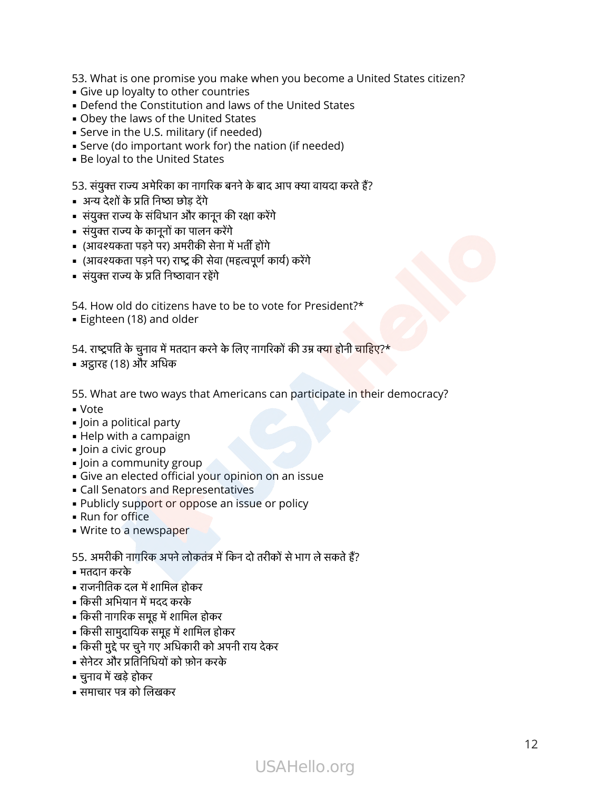53. What is one promise you make when you become a United States citizen?

- **·** Give up loyalty to other countries
- **Defend the Constitution and laws of the United States**
- **.** Obey the laws of the United States
- **E** Serve in the U.S. military (if needed) = Detend the Constitution a<br>• Obey the laws of the Unite<br>• Serve in the U.S. military (i<br>• Serve (do important work<br>• Be loyal to the United Stat<br>53. संयुक्त राज्य अमेरिका का नागरि<br>• अन्य देशों के प्रति निष्ठा छोड़ देंगे
- **Serve (do important work for) the nation (if needed)** • Obey the laws of the United States<br>• Serve in the U.S. military (if needed)<br>• Serve (do important work for) the natio<br>• Be loyal to the United States<br>53. संयुक्त राज्य अमेरिका का नागरिक बनने के बाद 3<br>• अन्य देशों के प्र
- **Be loyal to the United States**

s Give up loyalty to other countries<br>• Defend the Constitution and laws of the United States<br>• Obey the laws of the United States<br>• Serve in the U.S. military (if needed)<br>• Serve (do important work for) the nation (if nee

- 
- अन्य देशों के प्रति निष्ठा छोड़ देंगे<br>• संयुक्त राज्य के संविधान और कानून की रक्षा करेंगे<br>• संयुक्त राज्य के कानूनों का पालन करेंगे - Serve (ao important work for) the hat<br>• Be loyal to the United States<br>53. संयुक्त राज्य अमेरिका का नागरिक बनने के बाद<br>• अन्य देशों के प्रति निष्ठा छोड़ देंगे<br>• संयुक्त राज्य के संविधान और कानून की रक्षा करेंगे<br>• संयुक्त 53. संयुक्त राज्य अमेरिका का नागरिक<br>• अन्य देशों के प्रति निष्ठा छोड़ देंगे<br>• संयुक्त राज्य के संविधान और कानून<br>• संयुक्त राज्य के कानूनों का पालन क<br>• (आवश्यकता पड़ने पर) राष्ट्र की सेवा<br>• संयुक्त राज्य के प्रति निष्ठावान
- 
- 
- " प्रशाद के सार कारण्ड प्रसंदिष्ट<br>53. संयुक्त राज्य अमेरिका का नागरिक बनने के बाद आप क्या ग्<br>" अन्य देशों के प्रति निष्ठा छोड़ देंगे<br>" संयुक्त राज्य के संविधान और कानून की रक्षा करेंगे<br>" संयुक्त राज्य के कानूनों का पालन क
- | संयुक्त राज्य के प्रति निष्ट<br>| 54. How old do citizer<br>| Eighteen (18) and ol<br>|<br>| 54. राष्ट्रपति के चुनाव में मत्

54. How old do citizens have to be to vote for President?\*

**Eighteen (18) and older** 

• (आवश्यकता पड़ने पर) राष्ट्र की सेवा (महत्वपूर्ण कार्य) करेंगे<br>• संयुक्त राज्य के प्रति निष्ठावान रहेंगे<br>54. How old do citizens have to be to vote for President?\*<br>• Eighteen (18) and older<br>54. राष्ट्रपति के चुनाव में मत

55. What are two ways that Americans can participate in their democracy?

- Vote
- **.** Join a political party
- **Help with a campaign**
- **.** Join a civic group
- **.** Join a community group
- **·** Give an elected official your opinion on an issue
- **EXEL Senators and Representatives**
- 
- Run for office
- **· Write to a newspaper**

= Call Senators and Representatives<br>= Publicly support or oppose an issue or policy<br>= Run for office<br>= Write to a newspaper<br>55. अमरीकी नागरिक अपने लोकतंत्र में किन दो तरीकों से भाग<br>= मतदान करके<br>= राजनीतिक दल में शामिल होक = Join a community group<br>= Give an elected official your opinion on an issue<br>= Call Senators and Representatives<br>= Publicly support or oppose an issue or policy<br>= Run for office<br>= Write to a newspaper<br>55. अमरीकी नागरिक अप = Publicly support of opp<br>= Run for office<br>= Write to a newspaper<br>55. अमरीकी नागरिक अपने लोग<br>= मतदान करके<br>= राजनीतिक दल में शामिल होक<br>= किसी अभियान में मदद करके 55. अमरीकी नागरिक अपने लोकतंत्र में किन दो तरीकों<br>• मतदान करके<br>• राजनीतिक दल में शामिल होकर<br>• किसी अभियान में मदद करके<br>• किसी सामुदायिक समूह में शामिल होकर<br>• किसी सुद्दे पर चुने गए अधिकारी को अपनी राय देकर

- मतदान करके
- 
- = राजनीतिक दल में १<br>= किसी अभियान में म<br>= किसी नागरिक समूह<br>= किसी सामुदायिक र<br>= किसी मुद्दे पर चुने गा<br>= सेनेटर और प्रतिनिधि<br>= चुनाव में खड़े होकर • किसी अभियान में मदद क<br>• किसी नागरिक समूह में शा<br>• किसी सामुदायिक समूह में<br>• किसी मुद्दे पर चुने गए अधि<br>• सेनटर और प्रतिनिधियों के<br>• चुनाव में खड़े होकर<br>• समाचार पत्र को लिखकर
- = Karl for office<br>• Write to a newspaper<br>55. अमरीकी नागरिक अपने लोकतंत्र में<br>• मतदान करके<br>• राजनीतिक दल में शामिल होकर<br>• किसी आभियान में मदद करके<br>• किसी नागरिक समूह में शामिल होकर
- राजनीतिक दल में शामिल होकर<br>• किसी अभियान में मदद करके<br>• किसी नागरिक समूह में शामिल होकर<br>• किसी सामुदायिक समूह में शामिल होकर • मतदान करके<br>• राजनीतिक दल में शामिल होकर<br>• किसी अभियान में मदद करके<br>• किसी नागरिक समूह में शामिल होकर<br>• किसी मुद्दे पर चुने गए अधिकारी को अप<br>• सेनेटर और प्रतिनिधियों को फ़ोन करके
- 
- 
- 
-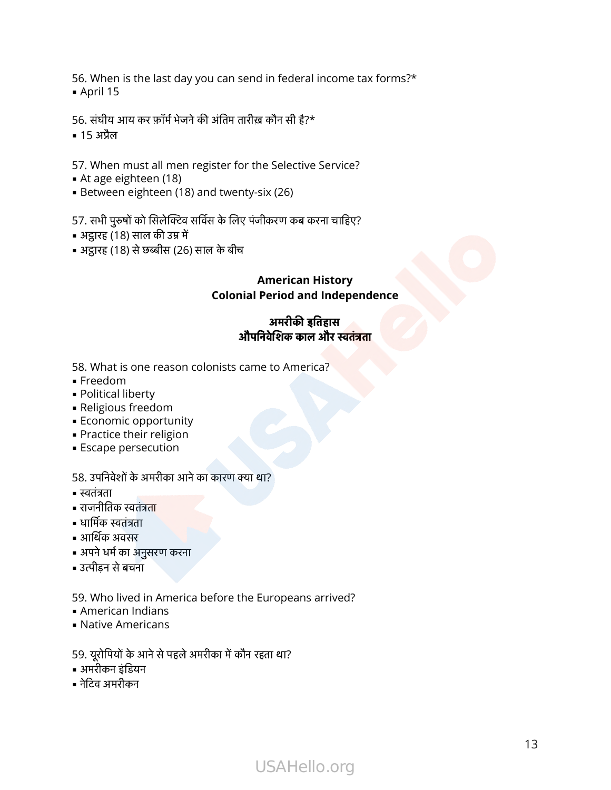56. When is the last day you can send in federal income tax forms?\*  $\blacksquare$  April 15 56. When is the last day you can send in federal i<br>• April 15<br>56. संघीय आय कर फ़ॉर्म भेजने की अंतिम तारीख़ कौन सी है?\*

▪ 15 अैल

57. When must all men register for the Selective Service? 56. संघीय आय कर फ़ॉर्म भेजने की अंतिम तारीख़ कौन सी है?\*<br>• 15 अप्रैल<br>57. When must all men register for the Selective Service?<br>• At age eighteen (18)<br>• Between eighteen (18) and twenty-six (26)<br>57. सभी पुरुषों को सिलेक्टि

- At age eighteen (18)
- Between eighteen (18) and twenty-six (26)

- अट्ठारह (18) साल की उम्र में
- अट्ठारह (18) से छब्बीस (26) साल के बीच

### **American History Colonial Period and Independence**

### अमरीकइतहास औपनवेशककालऔरतंता

58. What is one reason colonists came to America?

- Freedom
- Political liberty
- **· Religious freedom** = Politica<br>= Religiol<br>= Econor<br>= Practici<br>= Escape<br>58. उपनिवे
- **Economic opportunity**
- **Practice their religion**
- 

## = Escape persecution<br>58. उपनिवेशों के अमरीका अ<br>= स्वतंत्रता<br>= राजनीतिक स्वतंत्रता<br>= धार्मिक स्वतंत्रता<br>= आर्थिक अवसर 58. उपनिवेशों के अमरीका आने का कारण क्या था?

- 
- = Rengrous Heedd<br>= Economic oppo<br>= Practice their re<br>= Escape persecu<br>58. उपनिवेशों के अमर्र<br>= स्वतंत्रता ▪ धामक तंता
- 
- 
- अपने धर्म का अनुसरण करना
- उत्पीडन से बचना

59. Who lived in America before the Europeans arrived? - उत्पीड़न से बचना<br>- उत्पीड़न से बचना<br>59. Who lived in America before the Europea<br>- American Indians<br>- Native Americans<br>59. यूरोपियों के आने से पहले अमरीका में कौन रहता था? sengera<br>- American Indi<br>- American Indi<br>- Native Americ<br>59. यूरोपियों के आग्<br>- अमरीकन इंडियन 59. Who lived<br>• American In<br>• Native Amer<br>59. यूरोपियों के 3<br>• अमरीकन इंडियन्

- American Indians
- **Native Americans**
- 
- 
-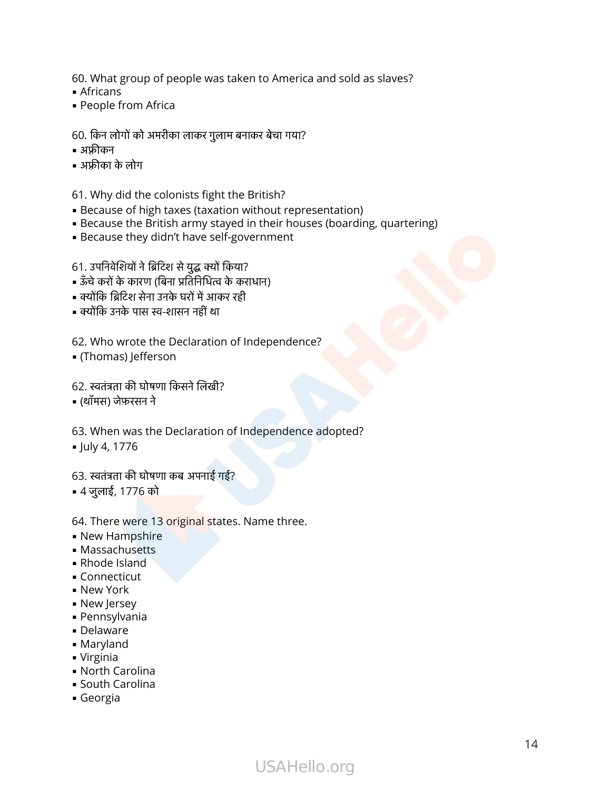60. What group of people was taken to America and sold as slaves? 60. What group of people was taken to America<br>• Africans<br>• People from Africa<br>60. किन लोगों को अमरीका लाकर गुलाम बनाकर बेचा गया?

- Africans
- People from Africa 60. What<br>• African:<br>• People<br>60. किन लें<br>• अफ़्रीकन 60. What group<br>• Africans<br>• People from<br>60. किन लोगों को<br>• अफ़्रीकन

- 
- 

61. Why did the colonists fight the British? the S1. Why did the colonists fight the Britis<br>• Because of high taxes (taxation withou<br>• Because the British army stayed in the<br>• Because they didn't have self-governm<br>61. उपनिवेशियों ने ब्रिटिश से युद्ध क्यों किया?<br>• ऊँ

- **Because of high taxes (taxation without representation)**
- **Because the British army stayed in their houses (boarding, quartering)**
- **Because they didn't have self-government**

the colonists fight the E<br>• Because of high taxes (taxation wi<br>• Because the British army stayed in<br>• Because they didn't have self-gove<br>61. उपनिवेशियों ने ब्रिटिश से युद्ध क्यों किया? - ......., and are coronnous ingite are .<br>• Because of high taxes (taxation w<br>• Because the British army stayed i<br>• Because they didn't have self-gov<br>61. उपनिवेशियों ने ब्रिटिश से युद्ध क्यों किया?<br>• ऊँचे करों के कारण (बि = Because of might takes (takes)<br>= Because the British army sta<br>= Because they didn't have sel<br>61. उपनिवेशियों ने ब्रिटिश से युद्ध क्यों<br>= ऊँचे करों के कारण (बिना प्रतिनिधित्व<br>= क्योंकि ब्रिटिश सेना उनके घरों में आक्<br>= क्

- 
- 
- 

62. Who wrote the Declaration of Independence? • क्योंकि ब्रिटिश सेना उनके घरों में आकर रही<br>• क्योंकि उनके पास स्व-शासन नहीं था<br>62. Who wrote the Declaration of I<br>• (Thomas) Jefferson<br>62. स्वतंत्रता की घोषणा किसने लिखी?

▪ (Thomas) Jefferson

- (थॉमस) जेफ़रसन ने
- 63. When was the Declaration of Independence adopted?

▪ July 4, 1776

63. स्वतंत्रता की घोषणा कब अपनाई गई?

▪ 4 जुलाई, 1776 को

### 64. There were 13 original states. Name three.

- **New Hampshire**
- Massachusetts
- Rhode Island
- **Connecticut**
- **New York**
- **New Jersey**
- **Pennsylvania**
- Delaware
- Maryland
- Virginia
- North Carolina
- **South Carolina**
- Georgia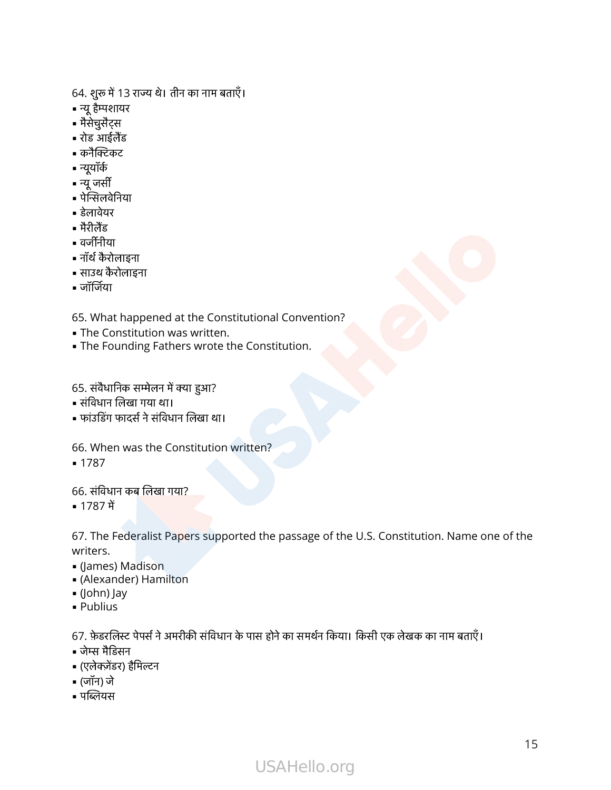64. शुरू में 13 राज्य थे। तीन का नाम बताएँ। 64. शुरू में 13<br>-<br>∎ न्यू हैम्पशायर

- 64. शुरू में 13<br>• न्यू हैम्पशायर<br>• मैसेचुसैट्स<br>• रोड आईलैंड = न्यू हैम्पशायर<br>= मैसेचुसैट्स<br>= रोड आईलैंड<br>= क्नैक्टिकट<br>= न्यू जर्सी<br>= न्यू जर्सी
- मैसेचुसैट्स
- 64. शुरू में 1:<br>• न्यू हैम्पशाय<br>• मैसेचुसैट्स<br>• रोड आईलैंड<br>• कनैक्टिकट
- 64. शुरू में<br>• न्यू हैम्पश<br>• मैसेचुसैट्<br>• रोड आईर<br>• न्यूयॉर्क<br>• न्यू जर्सी
- न्यूयॉर्क
- = मैंसेचुसैट्स<br>= रोड आईले<br>= कनैक्टिक<br>= न्यू जर्सी<br>= पेन्सिलवेन् = रोड आई<br>= कनैक्टि<br>= न्यूयॉर्क<br>= न्यू जर्सी<br>= पेन्सिलव्<br>= मैरीलैंड = कनैक्टिक<br>= न्यूयॉर्क<br>= न्यू जर्सी<br>= पेन्सिलवेन्<br>= मैरीलैंड<br>= वर्जीनीया
- = पेन्सिलवे|<br>= डेलावेयर<br>= मैरीलैंड<br>= नॉर्थ कैरो<br>= साउथ कै<br>= जॉर्जिया
- 
- 
- 
- नॉथ कै रोलाइना
- साउथ कै रोलाइना
- 

65. What happened at the Constitutional Convention?

- **The Constitution was written.**
- **.** The Founding Fathers wrote the Constitution. - बाहिरवा<br>65. What happened at the Co<br>• The Constitution was writte<br>• The Founding Fathers wrote<br>65. संवैधानिक सम्मेलन में क्या हुआ? 65. What happened a<br>• The Constitution wa<br>• The Founding Fathe<br>65. संवैधानिक सम्मेलन में व<br>• संविधान लिखा गया था। ७५: What Happerica at the Cons<br>• The Constitution was written.<br>• The Founding Fathers wrote t<br>65. संवैधानिक सम्मेलन में क्या हुआ?<br>• संविधान लिखा गया था।<br>• फांउडिंग फादर्स ने संविधान लिखा था।

- 
- संविधान लिखा गया था।<br>• फांउडिंग फादर्स ने संविधान ति<br>66. When was the Const<br>• 1787<br>66. संविधान कब लिखा गया? = फांउडिंग प<br>66. When<br>= 1787<br>66. संविधाः

66. When was the Constitution written?

**1787** 

67. The Federalist Papers supported the passage of the U.S. Constitution. Name one of the writers. o7. The Federalist Fapers supported the passage of the 0.5. constitution. Name of<br>writers.<br>• (James) Madison<br>• (Alexander) Hamilton<br>• (John) Jay<br>• Publius

- (James) Madison
- (Alexander) Hamilton • (James) Ma<br>• (James) Ma<br>• (Alexander<br>• (John) Jay<br>• Publius<br>67. फ़ेडरलिस्ट ' = yames) maaison<br>= (Alexander) Ham<br>= (John) Jay<br>= Publius<br>67. फ़ेडरलिस्ट पेपर्स ने<br>= जेम्स मैडिसन
- $\blacksquare$  (John) Jay
- Publius

= Publius<br>= Publius<br>= जेम्स मैडि<br>= (एलेक्ज़ेंड<br>= (जॉन) जे<br>= पब्लियस

- 
- 
- (जॉन) जे
-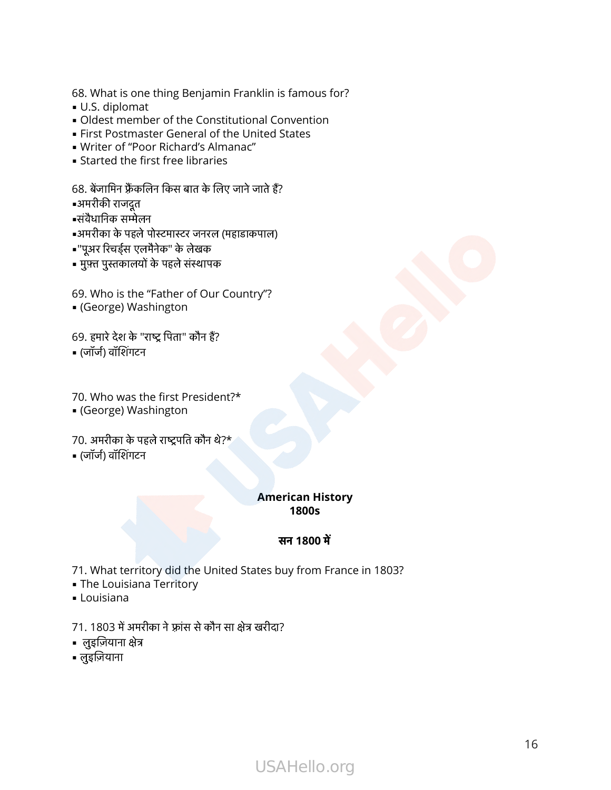68. What is one thing Benjamin Franklin is famous for?

- U.S. diplomat
- **.** Oldest member of the Constitutional Convention
- **Eirst Postmaster General of the United States** 68. What is one thing Benjamin Franklin is<br>• U.S. diplomat<br>• Oldest member of the Constitutional Cor<br>• First Postmaster General of the United Si<br>• Writer of "Poor Richard's Almanac"<br>• Started the first free libraries<br>68. = U.S. alpioma<br>= Oldest meml<br>= First Postma<br>= Writer of "Po<br>= Started the f<br>68. बेंजामिन फ्रैंको<br>=अमरीकी राजदूत = Oldest membe<br>= First Postmaste<br>= Writer of "Poor<br>= Started the firs<br>68. बेंजामिन फ्रैंकलि<br>=अमरीकी राजदूत
- Writer of "Poor Richard's Almanac"
- **Example 1 Started the first free libraries**

- 
- 
- . अमरीका के पहले पोस्टमास्टर जनरल (महाडाकपाल) ▪"पूअर रचड्स एलमैनेक" के लेखक 68. बेंजामिन फ्रैंकलिन किस बात के लि<br>•अमरीकी राजदूत<br>•संवैधानिक सम्मेलन<br>•"पूअर रिचर्ड्स एलमैनेक" के लेखक<br>• मुफ़्त पुस्तकालयों के पहले संस्थापक<br>• मुफ़्त पुस्तकालयों के पहले संस्थापक
- 
- 

69. Who is the "Father of Our Country"? ▪ (George) Washington •"पूअर रिचर्ड्स एलमैनेक" के लेखक<br>• मुफ़्त पुस्तकालयों के पहले संस्थापक<br>69. Who is the "Father of Our<br>• (George) Washington<br>69. हमारे देश के "राष्ट्र पिता" कौन हैं? • मुफ़्त पुस्तकालयों<br>69. Who is the "<br>• (George) Was<br>69. हमारे देश के "र<br>• (जॉर्ज) वॉशिंगटन

70. Who was the first President?\* • (जॉर्ज) वॉशिंगटन<br>70. Who was the first President?<br>• (George) Washington<br>70. अमरीका के पहले राष्ट्रपति कौन थे?\* ,<br>70. Who was th<br>• (George) Was<br>70. अमरीका के पह<br>• (जॉर्ज) वॉशिंगटन

▪ (George) Washington

### **American History 1800s**

### सन **1800** म

- 71. What territory did the United States buy from France in 1803? **स**<br>71. What territory did the United States bu<br>• The Louisiana Territory<br>• Louisiana<br>71. 1803 में अमरीका ने फ़्रांस से कौन सा क्षेत्र खरीदा? 71. What territ<br>• The Louisiana<br>• Louisiana<br>71. 1803 में अमर्र<br>• लुइज़ियाना क्षेत्र
- **The Louisiana Territory**
- **-** Louisiana
- 71. 1803 में अमरीका ने फ़्रांस से कौन सा क्षेत्र खरीदा?<br>• लुइज़ियाना क्षेत्र<br>• लुइज़ियाना
- 
-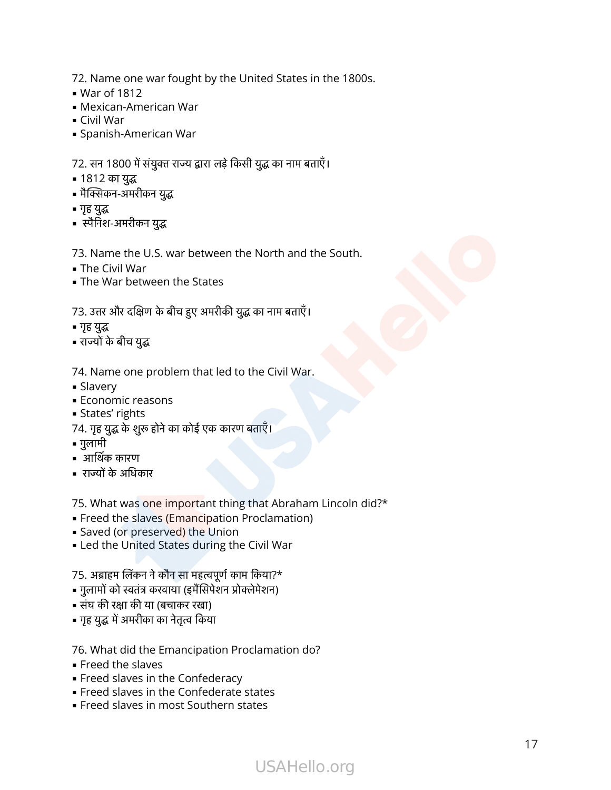72. Name one war fought by the United States in the 1800s.

- $\blacksquare$  War of 1812
- **Mexican-American War** = War of ToTZ<br>• Mexican-American<br>• Civil War<br>• Spanish-American \<br>72. सन 1800 में संयुक्त र<br>• 1812 का युद्ध
- **Civil War**
- **Spanish-American War**

72. Name one war fought by the United States in the<br>• War of 1812<br>• Mexican-American War<br>• Spanish-American War<br>• Spanish-American War<br>72. सन 1800 में संयुक्त राज्य द्वारा लड़े किसी युद्ध का नाम बताएँ। = Spanish-Americar<br>72. सन 1800 में संयुक्त<br>= 1812 का युद्ध<br>= मैक्सिकन-अमरीकन युद्ध<br>= मृह युद्ध<br>= स्पैनिश-अमरीकन युद्ध

- 1812 का युद्ध
- 
- 
- गृह युद्ध<br>• स्पैनिश-अमरीकन युद्ध

73. Name the U.S. war between the North and the South.

- $\blacksquare$  The Civil War
- **.** The War between the States

# - स्पैनिश-अमरीकन युद्ध<br>73. Name the U.S. war between the North and tl<br>- The Civil War<br>- The War between the States<br>73. उत्तर और दक्षिण के बीच हुए अमरीकी युद्ध का नाम बताएँ। 73. Name the U.<br>• The Civil War<br>• The War betwe<br>73. उत्तर और दक्षिण<br>• गृह युद्ध

- गृह युद्ध
- 

74. Name one problem that led to the Civil War. - राज्यों के बीच युद्ध<br>- राज्यों के बीच युद्ध<br>74. Name one problem that led to the Ci<br>- States' rights<br>- States' rights<br>74. गृह युद्ध के शुरू होने का कोई एक कारण बताएँ।

- **Slavery**
- **Economic reasons** 74. Name one<br>• Slavery<br>• Economic re<br>• States' rights<br>74. गृह युद्ध के शुर<br>• गुलामी - Mirame Shelp:<br>• Slavery<br>• Economic rease<br>• States' rights<br>74. गृह युद्ध के शुरू हें<br>• गुलामी<br>• आर्थिक कारण
- **Example States' rights**
- 
- गुलामी
- 
- 

75. What was one important thing that Abraham Lincoln did?\* THET PREVISION: THET PREVISION<br>- Freed the slaves (Emancipation Proclama<br>- Saved (or preserved) the Union<br>- Led the United States during the Civil Wa<br>75. अब्राहम लिंकन ने कौन सा महत्वपूर्ण काम किया?\* T5. What was <mark>one import</mark>ant thing that Ab<br>• Freed the slaves (Emancipation Proclam<br>• Saved (or preserved) the Union<br>• Led the United States during the Civil W<br>75. अब्राहम लिंकन ने कौन सा महत्वपूर्ण काम किया?\*<br>• गुलामों क

- **Example 1** Freed the slaves (Emancipation Proclamation)
- Saved (or preserved) the Union
- **.** Led the United States during the Civil War - Strimatinas one important<br>• Freed the slaves (Emancipa<br>• Saved (or preserved) the U<br>• Led the United States durin<br>75. अब्राहम लिंकन ने कौन सा महत्वप<br>• गुलामों को स्वतंत्र करवाया (इमैंसिपे<br>• संघ की रक्षा की या (बचाकर रखा | Freed the slaves (**Inlanciputer**<br>| Saved (or preserved) the Ur<br>| Led the United States durin<br>|<br>| गुह युद्ध में अमरीका का नेतृत्व किया<br>| गृह युद्ध में अमरीका का नेतृत्व किया

- 
- 
- 
- 76. What did the Emancipation Proclamation do?
- Freed the slaves
- **Example 3 Freed slaves in the Confederacy**
- **Freed slaves in the Confederate states**
- **Example 3 Freed slaves in most Southern states**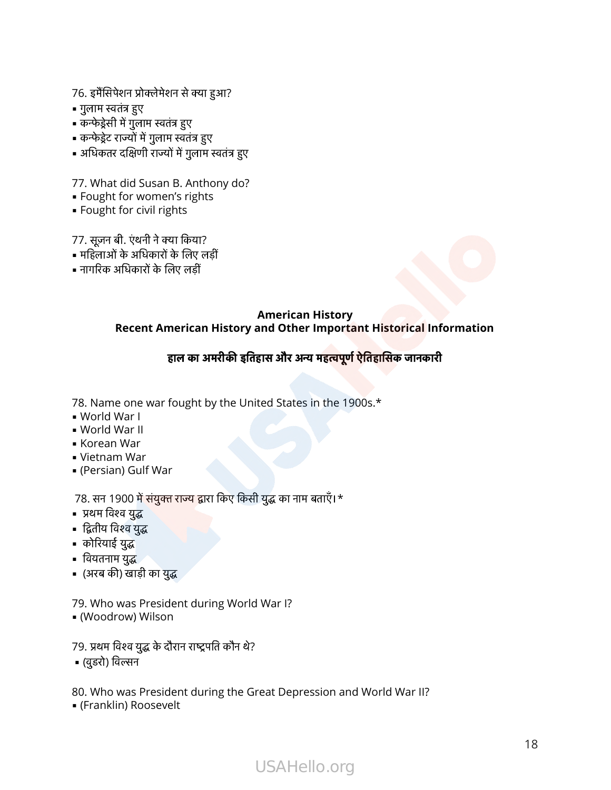76. इमैंसिपेशन प्रोक्लेमेशन से क्या हुआ?<br><br>-76. इमैंसिपेशन प्रोग्<br>76. इमैंसिपेशन प्रोग्<br>• गुलाम स्वतंत्र हुए

- 
- गुलाम स्वतंत्र हुए<br>• कन्फेड्रेसी में गुलाम स्वतंत्र हुए
- कन्फेड्रेट राज्यों में गुलाम स्वतंत्र हुए
- 76. इमैंसिपेशन प्रोक्लेमेशन से क्या हुआ?<br>• गुलाम स्वतंत्र हुए<br>• कन्फेड्रेसी में गुलाम स्वतंत्र हुए<br>• कन्फेड्रेट राज्यों में गुलाम स्वतंत्र हुए<br>• अधिकतर दक्षिणी राज्यों में गुलाम स्वतंत्र हुए - अप्रिकतर दक्षिणी राज्यों में गुलाम<br>- अधिकतर दक्षिणी राज्यों में गुलाम<br>- Fought for women's right:<br>- Fought for civil rights<br>77. सूजन बी. एंथनी ने क्या किया?

77. What did Susan B. Anthony do? न्दा सारा सदर सारा सारा हुआ गया।<br>17. What did Susan B. Anthon<br>• Fought for civil rights<br>• Fought for civil rights<br>77. सूज़न बी. एंथनी ने क्या किया?<br>• महिलाओं के अधिकारों के लिए लड़ीं

- Fought for women's rights
- **· Fought for civil rights**

- 
- 77. What did Susan B. Antl<br>• Fought for women's righ<br>• Fought for civil rights<br>77. सूज़न बी. एंथनी ने क्या किया?<br>• महिलाओं के अधिकारों के लिए त

### **American History Recent American History and Other Important Historical Information**

### हालकाअमरीकइतहासऔरअमहपूणऐतहासकजानकारी

78. Name one war fought by the United States in the 1900s.\*

- World War I
- World War II
- Korean War
- Vietnam War
- (Persian) Gulf War

78. Name one war fought by the United States in the 1<br>• World War I<br>• World War II<br>• Korean War<br>• (Persian) Gulf War<br>• (Persian) Gulf War<br>78. सन 1900 में संयुक्त राज्य द्वारा किए किसी युद्ध का नाम बताएँ।\* = world war |<br>• World War ||<br>• Korean War<br>• Vietnam War<br>• (Persian) Gulf<br>78. सन 1900 में<br>• प्रथम विश्व युद्ध = world war il<br>= Korean War<br>= Vietnam War<br>= (Persian) Gulf<br>78. सन 1900 में स्<br>= प्रथम विश्व युद्ध े<br>78. सन 1900 में संयुक्त र<br>• प्रथम विश्व युद्ध<br>• द्वितीय विश्व युद्ध<br>• कोरियाई युद्ध<br>• वियतनाम युद्ध<br>• (अरब की) खाड़ी का युद्ध

- 
- Rorean War<br>• Vietnam Wa<br>• (Persian) Gu<br>78. सन 1900<br>• प्रथम विश्व युद्ध<br>• द्वितीय विश्व युद्ध ▪ वयतनाम यु
- 
- 
- 

79. Who was President during World War I? | कोरियाई युद्ध<br>| वियतनाम युद्ध<br>| (अरब की) खाड़ी का युद्ध<br>|<br>|79. Who was President during World<br>| (Woodrow) Wilson<br>|79. प्रथम विश्व युद्ध के दौरान राष्ट्रपति कौन थे? = (अरब की) खाड़ी का युद्ध<br>79. Who was Preside<br>= (Woodrow) Wilson<br>79. प्रथम विश्व युद्ध के दौरा<br>= (वुडरो) विल्सन

▪ (Woodrow) Wilson

80. Who was President during the Great Depression and World War II?

▪ (Franklin) Roosevelt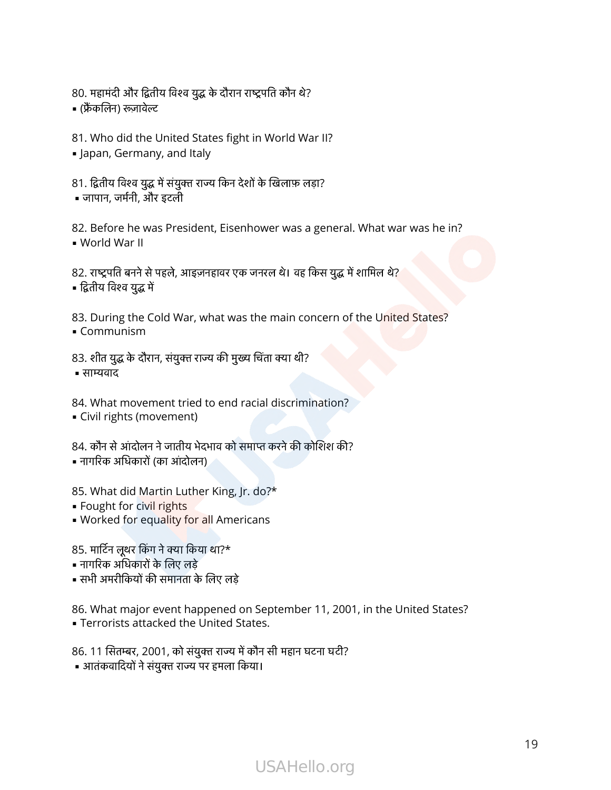80.<br><br>80. महामंदी और द्वितीय विश्व युद्ध के दौरान राष्ट्रपति कौन थे? 80. महामंदी और द्वितीर<br>80. महामंदी और द्वितीर<br>• (फ्रैंकलिन) रूज़ावेल्ट

81. Who did the United States fight in World War II?

**.** Japan, Germany, and Italy

| (फ्रैंकलिन) रूज़ावेल्ट<br>81. Who did the United States fight in World War I<br>|- Japan, Germany, and Italy<br>|- 81. द्वितीय विश्व युद्ध में संयुक्त राज्य किन देशों के खिलाफ़ लड़ा? ▪ जापान, जमनी, और इटली

82. Before he was President, Eisenhower was a general. What war was he in? ▪ World War II 81. द्वितीय विश्व युद्ध में संयुक्त राज्य किन देशों के खिलाफ़ लड़ा?<br>• जापान, जर्मनी, और इटली<br>82. Before he was President, Eisenhower was a general. What wa<br>• World War II<br>82. राष्ट्रपति बनने से पहले, आइज़नहावर एक जनरल थे। = जापान, जर्मनी, और<br>82. Before he wa<br>= World War II<br>82. राष्ट्रपति बनने से प<br>= द्वितीय विश्व युद्ध में

82. राष्ट्रपति बनने से पहले, आइज़नहावर एक जनरल थे। वह र्<br>• द्वितीय विश्व युद्ध में<br>83. During the Cold War, what was the main cor<br>• Communism<br>83. शीत युद्ध के दौरान, संयुक्त राज्य की मुख्य चिंता क्या थी?

83. During the Cold War, what was the main concern of the United States? • Communism

■ साम्यवाद

84. What movement tried to end racial discrimination? 83. शीत युद्ध के दौरान, संयुक्त राज्य की मुख्य चिंता क्या थी?<br>• साम्यवाद<br>84. What movement tried to end racial discrimination?<br>• Civil rights (movement)<br>84. कौन से आंदोलन ने जातीय भेदभाव को समाप्त करने की कोशिश की?

**· Civil rights (movement)** 

• नागरिक अधिकारों (का आंदोलन)

85. What did Martin Luther King, Jr. do?\*

- **Fought for civil rights**
- . Worked for equality for all Americans • नागरिक अधिकारों (का आंदोलन)<br>85. What did Martin Luther King<br>• Fought for ci<mark>vil</mark> rights<br>• Worked for equality for all Am<br>85. मार्टिन लूथर किंग ने क्या किया था?\* 85. What did Martin Luther King, J<br>• Fought for civil rights<br>• Worked for equality for all Amer<br>85. मार्टिन लूथर किंग ने क्या किया था?\*<br>• नागरिक अधिकारों के लिए लड़े<br>• सभी अमरीकियों की समानता के लिए लड़े

- नागरिक अधिकारों के लिए लड़े
- 

86. What major event happened on September 11, 2001, in the United States? **EXEC** Terrorists attacked the United States. sst matrix (1998) को सारा माला<br>• नागरिक अधिकारों के लिए लड़े<br>• सभी अमरीकियों की समानता के लिए लड़े<br>86. What major event happened on September 11, 200<br>• Terrorists attacked the United States.<br>86. 11 सितम्बर, 2001, को संयुक • सभी अमरीकियों की समानता के लिए लड़े<br>86. What major event happened on September 11, 200<br>• Terrorists attacked the United States.<br>86. 11 सितम्बर, 2001, को संयुक्त राज्य में कौन सी महान घटना घटी?<br>• आतंकवादियों ने संयुक्त र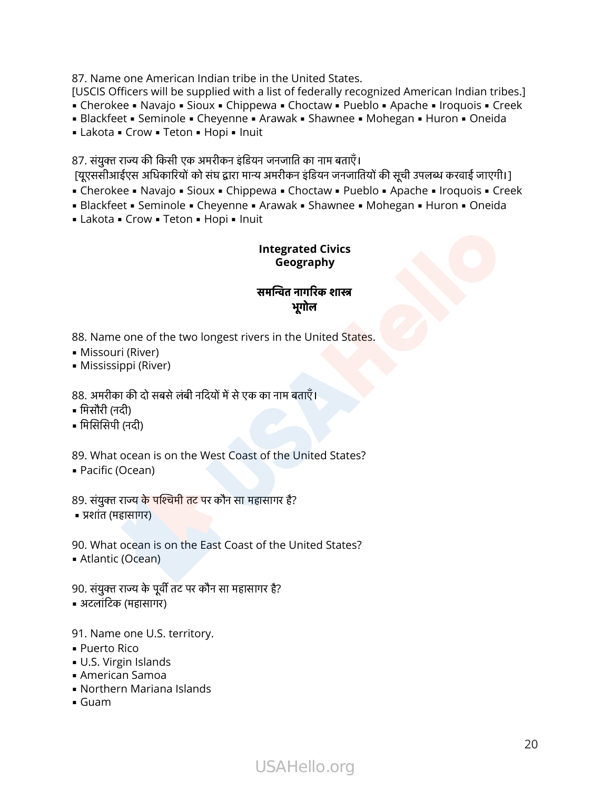87. Name one American Indian tribe in the United States.

[USCIS Officers will be supplied with a list of federally recognized American Indian tribes.]

■ Cherokee ■ Navajo ■ Sioux ■ Chippewa ■ Choctaw ■ Pueblo ■ Apache ■ Iroquois ■ Creek

- Blackfeet Seminole Cheyenne Arawak Shawnee Mohegan Huron Oneida
- Lakota Crow Teton Hopi Inuit

87. संयुक्त राज्य की किसी एक अमरीकन इंडियन जनजाति का नाम बताएँ।

[यूएससीआईएस अधिकारियों को संघ द्वारा मान्य अमरीकन इंडियन जनजातियों की सूची उपलब्ध करवाई जाएगी।]

■ Cherokee ■ Navajo ■ Sioux ■ Chippewa ■ Choctaw ■ Pueblo ■ Apache ■ Iroquois ■ Creek

■ Blackfeet ■ Seminole ■ Cheyenne ■ Arawak ■ Shawnee ■ Mohegan ■ Huron ■ Oneida

■ Lakota ■ Crow ■ Teton ■ Hopi ■ Inuit

### **Integrated Civics Geography**

### समतनागरकशा भूगोल

88. Name one of the two longest rivers in the United States.

- Missouri (River)
- **Mississippi (River)**

88. अमरीका की दो सबसे लंबी नदियों में से एक का नाम बताएँ। 88. Name or<br>• Missouri (F<br>• Mississippi<br>88. अमरीका की<br>• मिसौरी (नदी) 88. Name one<br>• Missouri (Rive<br>• Mississippi (R<br>88. अमरीका की दे<br>• मिसौरी (नदी)

- 
- 

89. What ocean is on the West Coast of the United States? • मिसोरी (नदी)<br>• मिसिसिपी (नदी)<br>89. What ocean is on the West Coast of the U<br>• Pacific (Ocean)<br>89. संयुक्त राज्य के पश्चिमी तट पर कौन सा महासागर है?

▪ Pacific (Ocean)

• प्रशांत (महासागर)

90. What ocean is on the East Coast of the United States? • Atlantic (Ocean) 89. संयुक्त राज्य के पश्चिमी तट पर कौन सा महासागर<br>• प्रशांत (महासागर)<br>90. What ocean is on the East Coast of the<br>• Atlantic (Ocean)<br>90. संयुक्त राज्य के पूर्वी तट पर कौन सा महासागर है? = प्रशांत (महासागर)<br>९०. What ocean is o<br>= Atlantic (Ocean)<br>९०. संयुक्त राज्य के पूर्वी<br>= अटलांटिक (महासागर)

91. Name one U.S. territory.

- Puerto Rico
- U.S. Virgin Islands
- American Samoa
- Northern Mariana Islands
- Guam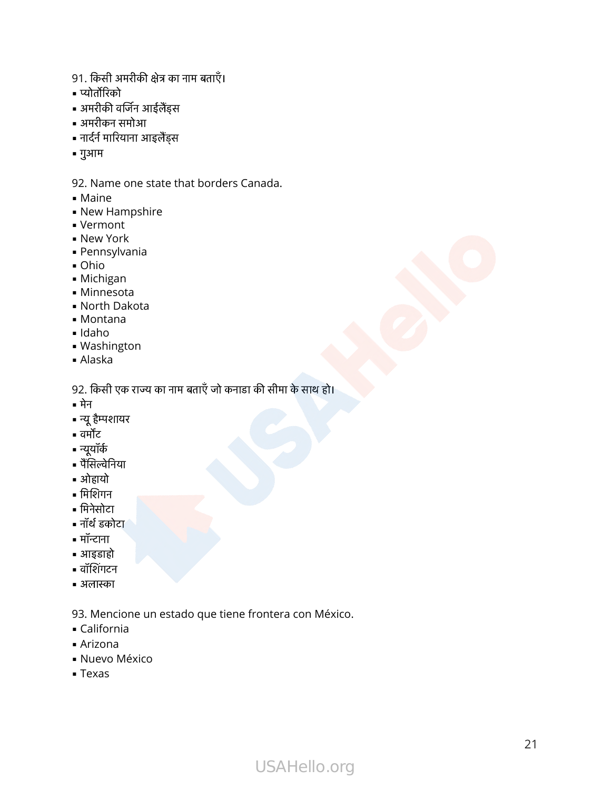- 91. किसी अमरीकी क्षेत्र का नाम बताएँ।<br><br>परिसी अमरीकी क्षेत्र का नाम बताएँ। 91. किसी अग्<br>91. किसी अग्<br>• प्योर्तोरिको 91. किसी अमरीकी क्षेत्र का<br>• प्योर्तोरिको<br>• अमरीकी वर्जिन आईलैंड्स 91. किसी अमरीकी क्षेत्र का<br>• प्योर्तोरिको<br>• प्योर्तोरिको<br>• अमरीकन समोआ<br>• नार्दर्न मारियाना आइलैंड्स
- 
- 
- अमरीकन समोआ
- 
- गुआम
- 92. Name one state that borders Canada.
- Maine
- **New Hampshire**
- Vermont
- **New York**
- Pennsylvania
- Ohio
- Michigan
- Minnesota
- North Dakota
- Montana
- Idaho
- Washington
- Alaska

= Minnesota<br>= North Dakota<br>= Montana<br>= Idaho<br>= Washington<br>= Alaska<br>92. किसी एक राज्य का नाम बताएँ जो कनाडा की सीमा के साथ हो। = wontana<br>= Idaho<br>= Washingto<br>= Alaska<br>92. किसी एक<br>= मेन<br>= न्यू हैम्पशायर 92. किसी एक<br>• मेन<br>• न्यू हैम्पशायर<br>• न्यूयॉर्क<br>• पैंसिल्वेनिया

- मेन
- प्यवास<br>• Wask<br>• Alask<br>92. किर<br>• न्यू हैम्प<br>• वर्मोंट
- 
- न्यूयॉर्क
- = मेन<br>= न्यू हैम्पश<br>= वर्मोंट<br>= न्यूयॉर्क<br>= अोहायो<br>= मिशिगन = न्यू हैम्पशा<br>= वर्मोंट<br>= न्यूयॉर्क<br>= पैंसिल्वेनि<br>= मिशिगन<br>= मिनेसोटा
- ओहायो
- 
- = मिशिगन<br>= मिनेसोटा<br>= नॉर्थ डकोट<br>= आइडाहो<br>= वॉशिंगटन
- नॉथ डकोटा
- मॉन्टाना
- आइडाहो
- 
- अलास्का

93. Mencione un estado que tiene frontera con México.

- California
- $\blacksquare$  Arizona
- **Nuevo México**
- Texas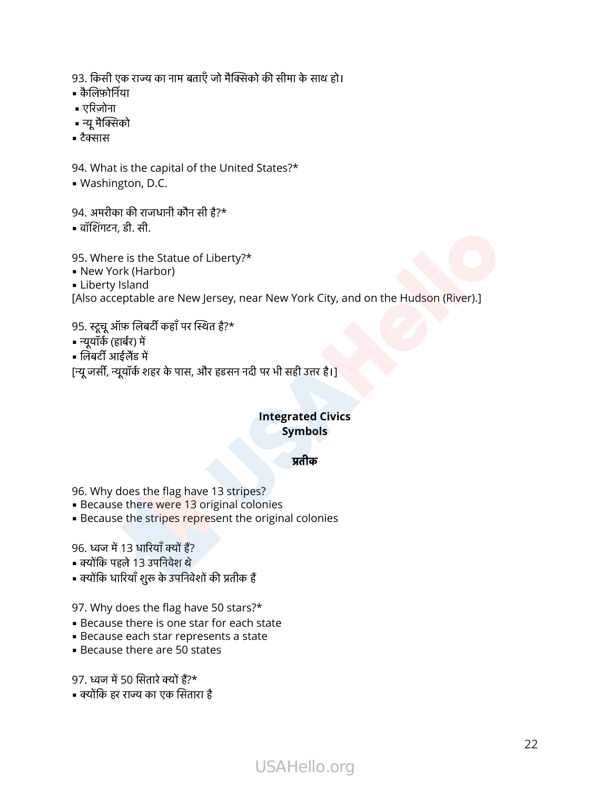93. किसी एक राज्य का नाम बताएँ जो मैक्सिको की सीमा के साथ हो।<br>93. किसी एक राज्य का नाम बताएँ जो मैक्सिको की सीमा के साथ हो। 93. किसी एक<br>93. किसी एक<br>• कैलिफ़ोर्निया 93. किसी ए<br>93. किसी ए<br>• एरिज़ोना 93. किसी एक र<br>• कैलिफ़ोर्निया<br>• एरिज़ोना<br>• न्यू मैक्सिको

- 
- 
- 93. किसी<br>• कैलिफ़ोर्गि<br>• रुरिज़ोन<br>• न्यू मैक्सि<br>• टैक्सास
- 

94. What is the capital of the United States?\* = टैक्सास<br>94. What is the capital of the U<br>= Washington, D.C.<br>94. अमरीका की राजधानी कौन सी है?\*

▪ Washington, D.C. = टैक्सास<br>94. What is the c<br>= Washington, D<br>94. अमरीका की राज<br>= वॉशिंगटन, डी. सी.

95. Where is the Statue of Liberty?\* = पारागटन, डा. सा.<br>95. Where is the Statue of Liberty<br>= New York (Harbor)<br>= Liberty Island<br>[Also acceptable are New Jersey,<br>95. स्टूचू ऑफ़ लिबर्टी कहाँ पर स्थित है?\* 95. Where is th<br>• New York (Ha<br>• Liberty Island<br>[Also acceptabl<br>95. स्टूचू ऑफ़ लिब<br>• न्यूयॉर्क (हार्बर) में

- New York (Harbor)
- **ELiberty Island**

[Also acceptable are New Jersey, near New York City, and on the Hudson (River).]

- ९५. Wriere is the<br>• New York (Har<br>• Liberty Island<br>[Also acceptable<br>95. स्टूचू ऑफ़ लिबर<br>• न्यूयॉर्क (हार्बर) में<br>• लिबर्टी आईलैंड में
- 
- 
- न्यूयॉर्क (हार्बर) में<br>• लिबर्टी आईलैंड में<br>[न्यू जर्सी, न्यूयॉर्क शहर के पास, और हडसन नदी पर भी सही उत्तर है।]

### **Integrated Civics Symbols**

### तीक

96. Why does the flag have 13 stripes? 96. Why does the flag ha<br>• Because there were 13<br>• Because the stripes rep<br>96. ध्वज में 13 धारियाँ क्यों हैं? 96. Why does the flag ha<br>• Because there were 13<br>• Because the stripes rep<br>96. ध्वज में 13 धारियाँ क्यों हैं?<br>• क्योंकि पहले 13 उपनिवेश थे

- **Because there were 13 original colonies**
- **Because the stripes represent the original colonies**

- 
- क्योंकि पहले 13 उपनिवेश थे<br>• क्योंकि धारियाँ शुरू के उपनिवेशों की प्रतीक हैं

97. Why does the flag have 50 stars?\* 97. Why does the flag hav<br>• Because there is one sta<br>• Because each star repre<br>• Because there are 50 sta<br>97. ध्वज में 50 सितारे क्यों हैं?\* 97. Why does the flag have 5<br>• Because there is one star f<br>• Because each star represer<br>• Because there are 50 state<br>97. ध्वज में 50 सितारे क्यों हैं?\*<br>• क्योंकि हर राज्य का एक सितारा है

- **Because there is one star for each state**
- **Because each star represents a state**
- $\blacksquare$  Because there are 50 states